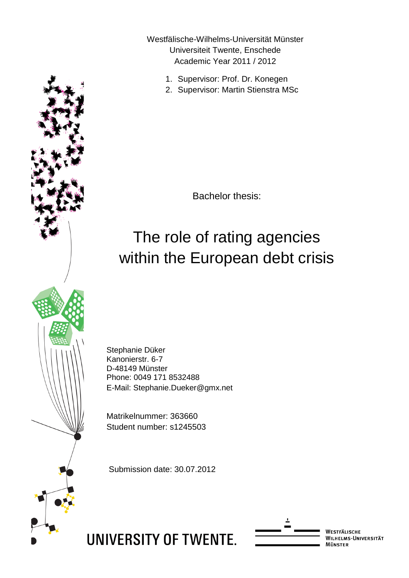Westfälische-Wilhelms-Universität Münster Universiteit Twente, Enschede Academic Year 2011 / 2012

- 1. Supervisor: Prof. Dr. Konegen
- 2. Supervisor: Martin Stienstra MSc

Bachelor thesis:

# The role of rating agencies within the European debt crisis

Stephanie Düker Kanonierstr. 6-7 D-48149 Münster Phone: 0049 171 8532488 E-Mail: Stephanie.Dueker@gmx.net

Matrikelnummer: 363660 Student number: s1245503

Submission date: 30.07.2012





WESTFÄLISCHE WILHELMS-UNIVERSITÄT<br>MÜNSTER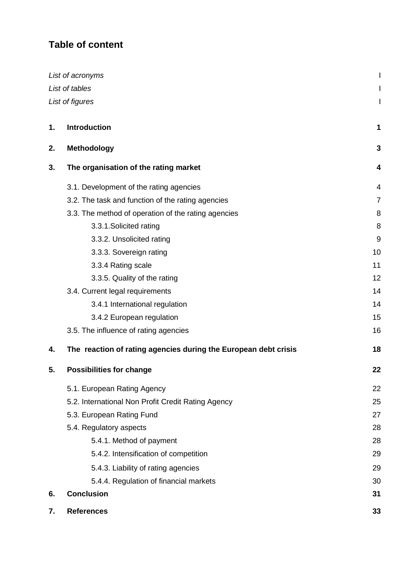# **Table of content**

|    | List of acronyms                                                |    |
|----|-----------------------------------------------------------------|----|
|    | List of tables                                                  |    |
|    | List of figures                                                 |    |
| 1. | <b>Introduction</b>                                             | 1  |
| 2. | <b>Methodology</b>                                              | 3  |
| 3. | The organisation of the rating market                           | 4  |
|    | 3.1. Development of the rating agencies                         | 4  |
|    | 3.2. The task and function of the rating agencies               | 7  |
|    | 3.3. The method of operation of the rating agencies             | 8  |
|    | 3.3.1. Solicited rating                                         | 8  |
|    | 3.3.2. Unsolicited rating                                       | 9  |
|    | 3.3.3. Sovereign rating                                         | 10 |
|    | 3.3.4 Rating scale                                              | 11 |
|    | 3.3.5. Quality of the rating                                    | 12 |
|    | 3.4. Current legal requirements                                 | 14 |
|    | 3.4.1 International regulation                                  | 14 |
|    | 3.4.2 European regulation                                       | 15 |
|    | 3.5. The influence of rating agencies                           | 16 |
| 4. | The reaction of rating agencies during the European debt crisis | 18 |
| 5. | <b>Possibilities for change</b>                                 | 22 |
|    | 5.1. European Rating Agency                                     | 22 |
|    | 5.2. International Non Profit Credit Rating Agency              | 25 |
|    | 5.3. European Rating Fund                                       | 27 |
|    | 5.4. Regulatory aspects                                         | 28 |
|    | 5.4.1. Method of payment                                        | 28 |
|    | 5.4.2. Intensification of competition                           | 29 |
|    | 5.4.3. Liability of rating agencies                             | 29 |
|    | 5.4.4. Regulation of financial markets                          | 30 |
| 6. | <b>Conclusion</b>                                               | 31 |
| 7. | <b>References</b>                                               | 33 |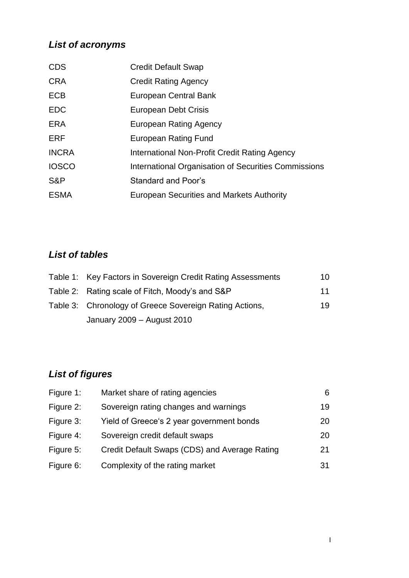# *List of acronyms*

| <b>CDS</b>   | <b>Credit Default Swap</b>                           |
|--------------|------------------------------------------------------|
| <b>CRA</b>   | <b>Credit Rating Agency</b>                          |
| <b>ECB</b>   | European Central Bank                                |
| <b>EDC</b>   | European Debt Crisis                                 |
| <b>ERA</b>   | European Rating Agency                               |
| <b>ERF</b>   | <b>European Rating Fund</b>                          |
| <b>INCRA</b> | International Non-Profit Credit Rating Agency        |
| <b>IOSCO</b> | International Organisation of Securities Commissions |
| S&P          | Standard and Poor's                                  |
| <b>ESMA</b>  | <b>European Securities and Markets Authority</b>     |

# *List of tables*

| Table 1: Key Factors in Sovereign Credit Rating Assessments | 10 |
|-------------------------------------------------------------|----|
| Table 2: Rating scale of Fitch, Moody's and S&P             | 11 |
| Table 3: Chronology of Greece Sovereign Rating Actions,     | 19 |
| January 2009 - August 2010                                  |    |

# *List of figures*

| Figure 1: | Market share of rating agencies               | 6. |
|-----------|-----------------------------------------------|----|
| Figure 2: | Sovereign rating changes and warnings         | 19 |
| Figure 3: | Yield of Greece's 2 year government bonds     | 20 |
| Figure 4: | Sovereign credit default swaps                | 20 |
| Figure 5: | Credit Default Swaps (CDS) and Average Rating | 21 |
| Figure 6: | Complexity of the rating market               | 31 |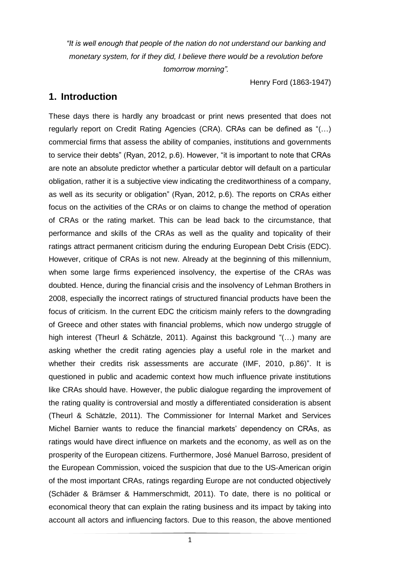*"It is well enough that [people](http://quotes4all.net/people.html) of the [nation](http://quotes4all.net/nations.html) do not understand our [banking](http://quotes4all.net/banking.html) and monetary system, for if they did, I believe there would be a [revolution](http://quotes4all.net/revolutions.html) before tomorrow morning".* 

Henry Ford (1863-1947)

### **1. Introduction**

These days there is hardly any broadcast or print news presented that does not regularly report on Credit Rating Agencies (CRA). CRAs can be defined as "(…) commercial firms that assess the ability of companies, institutions and governments to service their debts" (Ryan, 2012, p.6). However, "it is important to note that CRAs are note an absolute predictor whether a particular debtor will default on a particular obligation, rather it is a subjective view indicating the creditworthiness of a company, as well as its security or obligation" (Ryan, 2012, p.6). The reports on CRAs either focus on the activities of the CRAs or on claims to change the method of operation of CRAs or the rating market. This can be lead back to the circumstance, that performance and skills of the CRAs as well as the quality and topicality of their ratings attract permanent criticism during the enduring European Debt Crisis (EDC). However, critique of CRAs is not new. Already at the beginning of this millennium, when some large firms experienced insolvency, the expertise of the CRAs was doubted. Hence, during the financial crisis and the insolvency of Lehman Brothers in 2008, especially the incorrect ratings of structured financial products have been the focus of criticism. In the current EDC the criticism mainly refers to the downgrading of Greece and other states with financial problems, which now undergo struggle of high interest (Theurl & Schätzle, 2011). Against this background "(…) many are asking whether the credit rating agencies play a useful role in the market and whether their credits risk assessments are accurate (IMF, 2010, p.86)". It is questioned in public and academic context how much influence private institutions like CRAs should have. However, the public dialogue regarding the improvement of the rating quality is controversial and mostly a differentiated consideration is absent (Theurl & Schätzle, 2011). The Commissioner for Internal Market and Services Michel Barnier wants to reduce the financial markets' dependency on CRAs, as ratings would have direct influence on markets and the economy, as well as on the prosperity of the European citizens. Furthermore, José Manuel Barroso, president of the European Commission, voiced the suspicion that due to the US-American origin of the most important CRAs, ratings regarding Europe are not conducted objectively (Schäder & Brämser & Hammerschmidt, 2011). To date, there is no political or economical theory that can explain the rating business and its impact by taking into account all actors and influencing factors. Due to this reason, the above mentioned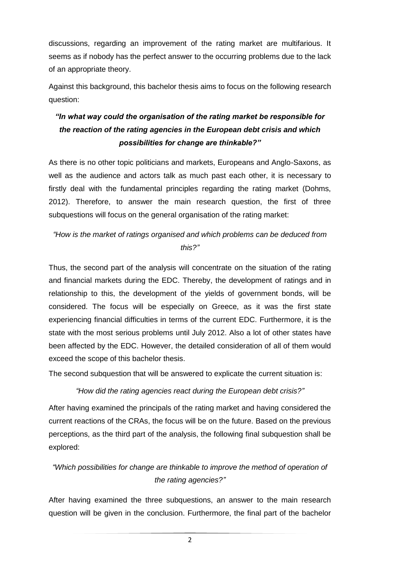discussions, regarding an improvement of the rating market are multifarious. It seems as if nobody has the perfect answer to the occurring problems due to the lack of an appropriate theory.

Against this background, this bachelor thesis aims to focus on the following research question:

# *"In what way could the organisation of the rating market be responsible for the reaction of the rating agencies in the European debt crisis and which possibilities for change are thinkable?"*

As there is no other topic politicians and markets, Europeans and Anglo-Saxons, as well as the audience and actors talk as much past each other, it is necessary to firstly deal with the fundamental principles regarding the rating market (Dohms, 2012). Therefore, to answer the main research question, the first of three subquestions will focus on the general organisation of the rating market:

# *"How is the market of ratings organised and which problems can be deduced from this?"*

Thus, the second part of the analysis will concentrate on the situation of the rating and financial markets during the EDC. Thereby, the development of ratings and in relationship to this, the development of the yields of government bonds, will be considered. The focus will be especially on Greece, as it was the first state experiencing financial difficulties in terms of the current EDC. Furthermore, it is the state with the most serious problems until July 2012. Also a lot of other states have been affected by the EDC. However, the detailed consideration of all of them would exceed the scope of this bachelor thesis.

The second subquestion that will be answered to explicate the current situation is:

*"How did the rating agencies react during the European debt crisis?"*

After having examined the principals of the rating market and having considered the current reactions of the CRAs, the focus will be on the future. Based on the previous perceptions, as the third part of the analysis, the following final subquestion shall be explored:

# *"Which possibilities for change are thinkable to improve the method of operation of the rating agencies?"*

After having examined the three subquestions, an answer to the main research question will be given in the conclusion. Furthermore, the final part of the bachelor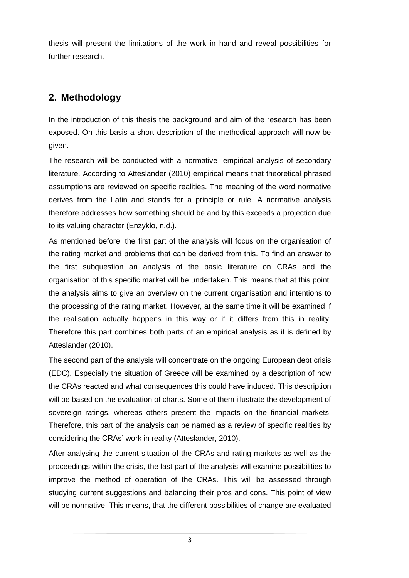thesis will present the limitations of the work in hand and reveal possibilities for further research.

# **2. Methodology**

In the introduction of this thesis the background and aim of the research has been exposed. On this basis a short description of the methodical approach will now be given.

The research will be conducted with a normative- empirical analysis of secondary literature. According to Atteslander (2010) empirical means that theoretical phrased assumptions are reviewed on specific realities. The meaning of the word normative derives from the Latin and stands for a principle or rule. A normative analysis therefore addresses how something should be and by this exceeds a projection due to its valuing character (Enzyklo, n.d.).

As mentioned before, the first part of the analysis will focus on the organisation of the rating market and problems that can be derived from this. To find an answer to the first subquestion an analysis of the basic literature on CRAs and the organisation of this specific market will be undertaken. This means that at this point, the analysis aims to give an overview on the current organisation and intentions to the processing of the rating market. However, at the same time it will be examined if the realisation actually happens in this way or if it differs from this in reality. Therefore this part combines both parts of an empirical analysis as it is defined by Atteslander (2010).

The second part of the analysis will concentrate on the ongoing European debt crisis (EDC). Especially the situation of Greece will be examined by a description of how the CRAs reacted and what consequences this could have induced. This description will be based on the evaluation of charts. Some of them illustrate the development of sovereign ratings, whereas others present the impacts on the financial markets. Therefore, this part of the analysis can be named as a review of specific realities by considering the CRAs' work in reality (Atteslander, 2010).

After analysing the current situation of the CRAs and rating markets as well as the proceedings within the crisis, the last part of the analysis will examine possibilities to improve the method of operation of the CRAs. This will be assessed through studying current suggestions and balancing their pros and cons. This point of view will be normative. This means, that the different possibilities of change are evaluated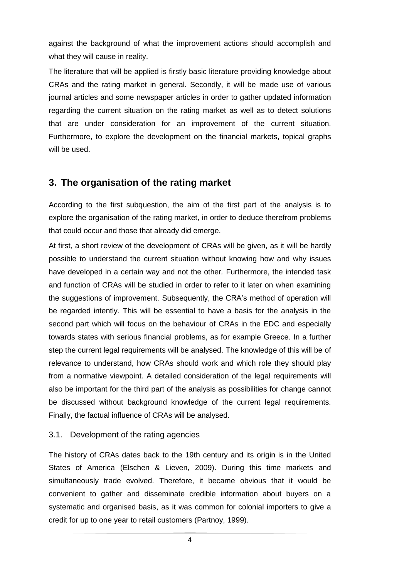against the background of what the improvement actions should accomplish and what they will cause in reality.

The literature that will be applied is firstly basic literature providing knowledge about CRAs and the rating market in general. Secondly, it will be made use of various journal articles and some newspaper articles in order to gather updated information regarding the current situation on the rating market as well as to detect solutions that are under consideration for an improvement of the current situation. Furthermore, to explore the development on the financial markets, topical graphs will be used.

# **3. The organisation of the rating market**

According to the first subquestion, the aim of the first part of the analysis is to explore the organisation of the rating market, in order to deduce therefrom problems that could occur and those that already did emerge.

At first, a short review of the development of CRAs will be given, as it will be hardly possible to understand the current situation without knowing how and why issues have developed in a certain way and not the other*.* Furthermore, the intended task and function of CRAs will be studied in order to refer to it later on when examining the suggestions of improvement. Subsequently, the CRA's method of operation will be regarded intently. This will be essential to have a basis for the analysis in the second part which will focus on the behaviour of CRAs in the EDC and especially towards states with serious financial problems, as for example Greece. In a further step the current legal requirements will be analysed. The knowledge of this will be of relevance to understand, how CRAs should work and which role they should play from a normative viewpoint. A detailed consideration of the legal requirements will also be important for the third part of the analysis as possibilities for change cannot be discussed without background knowledge of the current legal requirements. Finally, the factual influence of CRAs will be analysed.

### 3.1. Development of the rating agencies

The history of CRAs dates back to the 19th century and its origin is in the United States of America (Elschen & Lieven, 2009). During this time markets and simultaneously trade evolved. Therefore, it became obvious that it would be convenient to gather and disseminate credible information about buyers on a systematic and organised basis, as it was common for colonial importers to give a credit for up to one year to retail customers (Partnoy, 1999).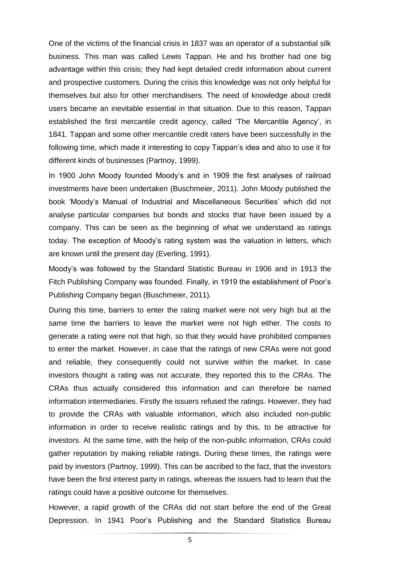One of the victims of the financial crisis in 1837 was an operator of a substantial silk business. This man was called Lewis Tappan. He and his brother had one big advantage within this crisis; they had kept detailed credit information about current and prospective customers. During the crisis this knowledge was not only helpful for themselves but also for other merchandisers. The need of knowledge about credit users became an inevitable essential in that situation. Due to this reason, Tappan established the first mercantile credit agency, called 'The Mercantile Agency', in 1841. Tappan and some other mercantile credit raters have been successfully in the following time, which made it interesting to copy Tappan's idea and also to use it for different kinds of businesses (Partnoy, 1999).

In 1900 John Moody founded Moody's and in 1909 the first analyses of railroad investments have been undertaken (Buschmeier, 2011). John Moody published the book 'Moody's Manual of Industrial and Miscellaneous Securities' which did not analyse particular companies but bonds and stocks that have been issued by a company. This can be seen as the beginning of what we understand as ratings today. The exception of Moody's rating system was the valuation in letters, which are known until the present day (Everling, 1991).

Moody's was followed by the Standard Statistic Bureau in 1906 and in 1913 the Fitch Publishing Company was founded. Finally, in 1919 the establishment of Poor's Publishing Company began (Buschmeier, 2011).

During this time, barriers to enter the rating market were not very high but at the same time the barriers to leave the market were not high either. The costs to generate a rating were not that high, so that they would have prohibited companies to enter the market. However, in case that the ratings of new CRAs were not good and reliable, they consequently could not survive within the market. In case investors thought a rating was not accurate, they reported this to the CRAs. The CRAs thus actually considered this information and can therefore be named information intermediaries. Firstly the issuers refused the ratings. However, they had to provide the CRAs with valuable information, which also included non-public information in order to receive realistic ratings and by this, to be attractive for investors. At the same time, with the help of the non-public information, CRAs could gather reputation by making reliable ratings. During these times, the ratings were paid by investors (Partnoy, 1999). This can be ascribed to the fact, that the investors have been the first interest party in ratings, whereas the issuers had to learn that the ratings could have a positive outcome for themselves.

However, a rapid growth of the CRAs did not start before the end of the Great Depression. In 1941 Poor's Publishing and the Standard Statistics Bureau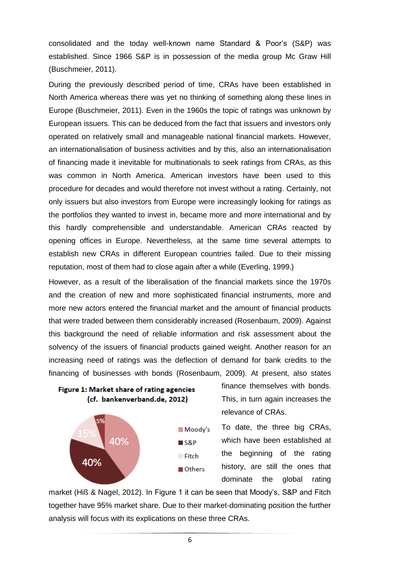consolidated and the today well-known name Standard & Poor's (S&P) was established. Since 1966 S&P is in possession of the media group Mc Graw Hill (Buschmeier, 2011).

During the previously described period of time, CRAs have been established in North America whereas there was yet no thinking of something along these lines in Europe (Buschmeier, 2011). Even in the 1960s the topic of ratings was unknown by European issuers. This can be deduced from the fact that issuers and investors only operated on relatively small and manageable national financial markets. However, an internationalisation of business activities and by this, also an internationalisation of financing made it inevitable for multinationals to seek ratings from CRAs, as this was common in North America. American investors have been used to this procedure for decades and would therefore not invest without a rating. Certainly, not only issuers but also investors from Europe were increasingly looking for ratings as the portfolios they wanted to invest in, became more and more international and by this [hardly](http://www.dict.cc/englisch-deutsch/hardly.html) [comprehensible](http://www.dict.cc/englisch-deutsch/comprehensible.html) [and](http://www.dict.cc/englisch-deutsch/and.html) [understandable.](http://www.dict.cc/englisch-deutsch/understandable.html) American CRAs reacted by opening offices in Europe. Nevertheless, at the same time several attempts to establish new CRAs in different European countries failed. Due to their missing reputation, most of them had to close again after a while (Everling, 1999.)

However, as a result of the liberalisation of the financial markets since the 1970s and the creation of new and more sophisticated financial instruments, more and more new actors entered the financial market and the amount of financial products that were traded between them considerably increased (Rosenbaum, 2009). Against this background the need of reliable information and risk assessment about the solvency of the issuers of financial products gained weight. Another reason for an increasing need of ratings was the deflection of demand for bank credits to the financing of businesses with bonds (Rosenbaum, 2009). At present, also states





finance themselves with bonds. This, in turn again increases the relevance of CRAs.

To date, the three big CRAs, which have been established at the beginning of the rating history, are still the ones that dominate the global rating

market (Hiß & Nagel, 2012). In Figure 1 it can be seen that Moody's, S&P and Fitch together have 95% market share. Due to their market-dominating position the further analysis will focus with its explications on these three CRAs.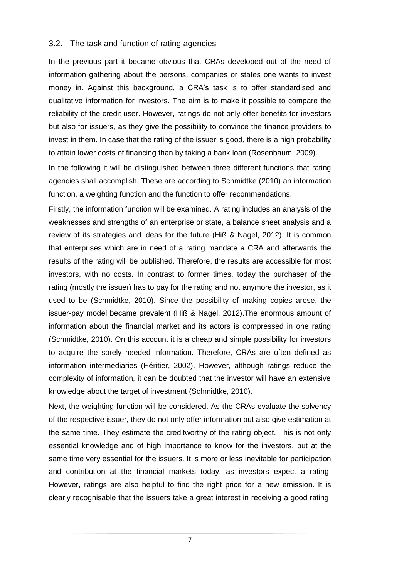### 3.2. The task and function of rating agencies

In the previous part it became obvious that CRAs developed out of the need of information gathering about the persons, companies or states one wants to invest money in. Against this background, a CRA's task is to offer standardised and qualitative information for investors. The aim is to make it possible to compare the reliability of the credit user. However, ratings do not only offer benefits for investors but also for issuers, as they give the possibility to convince the finance providers to invest in them. In case that the rating of the issuer is good, there is a high probability to attain lower costs of financing than by taking a bank loan (Rosenbaum, 2009).

In the following it will be distinguished between three different functions that rating agencies shall accomplish. These are according to Schmidtke (2010) an information function, a weighting function and the function to offer recommendations.

Firstly, the information function will be examined. A rating includes an analysis of the weaknesses and strengths of an enterprise or state, a balance sheet analysis and a review of its strategies and ideas for the future (Hiß & Nagel, 2012). It is common that enterprises which are in need of a rating mandate a CRA and afterwards the results of the rating will be published. Therefore, the results are accessible for most investors, with no costs. In contrast to former times, today the purchaser of the rating (mostly the issuer) has to pay for the rating and not anymore the investor, as it used to be (Schmidtke, 2010). Since the possibility of making copies arose, the issuer-pay model became prevalent (Hiß & Nagel, 2012).The enormous amount of information about the financial market and its actors is compressed in one rating (Schmidtke, 2010). On this account it is a cheap and simple possibility for investors to acquire the sorely needed information. Therefore, CRAs are often defined as information intermediaries (Héritier, 2002). However, although ratings reduce the complexity of information, it can be doubted that the investor will have an extensive knowledge about the target of investment (Schmidtke, 2010).

Next, the weighting function will be considered. As the CRAs evaluate the solvency of the respective issuer, they do not only offer information but also give estimation at the same time. They estimate the creditworthy of the rating object. This is not only essential knowledge and of high importance to know for the investors, but at the same time very essential for the issuers. It is more or less inevitable for participation and contribution at the financial markets today, as investors expect a rating. However, ratings are also helpful to find the right price for a new emission. It is clearly recognisable that the issuers take a great interest in receiving a good rating,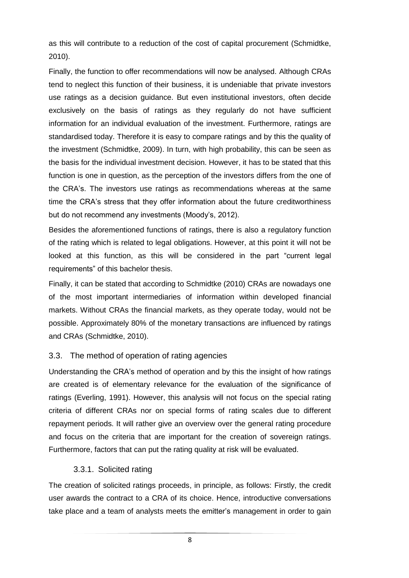as this will contribute to a reduction of the cost of capital procurement (Schmidtke, 2010).

Finally, the function to offer recommendations will now be analysed. Although CRAs tend to neglect this function of their business, it is undeniable that private investors use ratings as a decision guidance. But even institutional investors, often decide exclusively on the basis of ratings as they regularly do not have sufficient information for an individual evaluation of the investment. Furthermore, ratings are [standardised](http://www.dict.cc/englisch-deutsch/standardised.html) today. Therefore it is easy to compare ratings and by this the quality of the investment (Schmidtke, 2009). In turn, with high probability, this can be seen as the basis for the individual investment decision. However, it has to be stated that this function is one in question, as the perception of the investors differs from the one of the CRA's. The investors use ratings as recommendations whereas at the same time the CRA's stress that they offer information about the future creditworthiness but do not recommend any investments (Moody's, 2012).

Besides the aforementioned functions of ratings, there is also a regulatory function of the rating which is related to legal obligations. However, at this point it will not be looked at this function, as this will be considered in the part "current legal requirements" of this bachelor thesis.

Finally, it can be stated that according to Schmidtke (2010) CRAs are nowadays one of the most important intermediaries of information within developed financial markets. Without CRAs the financial markets, as they operate today, would not be possible. Approximately 80% of the monetary transactions are influenced by ratings and CRAs (Schmidtke, 2010).

### 3.3. The method of operation of rating agencies

Understanding the CRA's method of operation and by this the insight of how ratings are created is of elementary relevance for the evaluation of the significance of ratings (Everling, 1991). However, this analysis will not focus on the special rating criteria of different CRAs nor on special forms of rating scales due to different repayment periods. It will rather give an overview over the general rating procedure and focus on the criteria that are important for the creation of sovereign ratings. Furthermore, factors that can put the rating quality at risk will be evaluated.

### 3.3.1. Solicited rating

The creation of solicited ratings proceeds, in principle, as follows: Firstly, the credit user awards the contract to a CRA of its choice. Hence, introductive conversations take place and a team of analysts meets the emitter's management in order to gain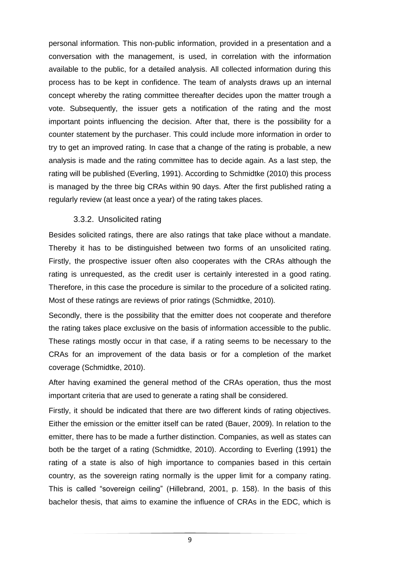personal information. This non-public information, provided in a presentation and a conversation with the management, is used, in correlation with the information available to the public, for a detailed analysis. All collected information during this process has to be kept in confidence. The team of analysts draws up an internal concept whereby the rating committee thereafter decides upon the matter trough a vote. Subsequently, the issuer gets a notification of the rating and the most important points influencing the decision. After that, there is the possibility for a counter statement by the purchaser. This could include more information in order to try to get an improved rating. In case that a change of the rating is probable, a new analysis is made and the rating committee has to decide again. As a last step, the rating will be published (Everling, 1991). According to Schmidtke (2010) this process is managed by the three big CRAs within 90 days. After the first published rating a regularly review (at least once a year) of the rating takes places.

#### 3.3.2. Unsolicited rating

Besides solicited ratings, there are also ratings that take place without a mandate. Thereby it has to be distinguished between two forms of an unsolicited rating. Firstly, the prospective issuer often also cooperates with the CRAs although the rating is unrequested, as the credit user is certainly interested in a good rating. Therefore, in this case the procedure is similar to the procedure of a solicited rating. Most of these ratings are reviews of prior ratings (Schmidtke, 2010)*.*

Secondly, there is the possibility that the emitter does not cooperate and therefore the rating takes place exclusive on the basis of information accessible to the public. These ratings mostly occur in that case, if a rating seems to be necessary to the CRAs for an improvement of the data basis or for a completion of the market coverage (Schmidtke, 2010).

After having examined the general method of the CRAs operation, thus the most important criteria that are used to generate a rating shall be considered.

Firstly, it should be indicated that there are two different kinds of rating objectives. Either the emission or the emitter itself can be rated (Bauer, 2009). In relation to the emitter, there has to be made a further distinction. Companies, as well as states can both be the target of a rating (Schmidtke, 2010). According to Everling (1991) the rating of a state is also of high importance to companies based in this certain country, as the sovereign rating normally is the upper limit for a company rating. This is called "sovereign ceiling" (Hillebrand, 2001, p. 158). In the basis of this bachelor thesis, that aims to examine the influence of CRAs in the EDC, which is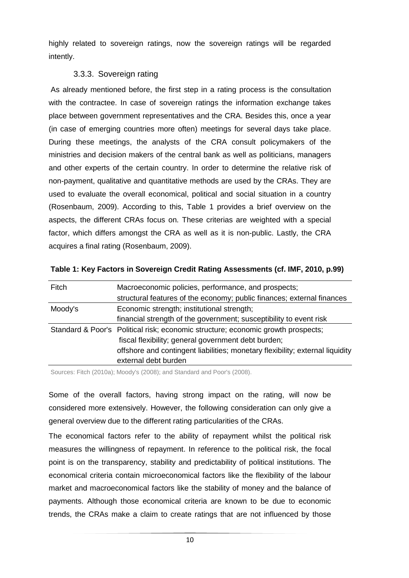highly related to sovereign ratings, now the sovereign ratings will be regarded intently.

### 3.3.3. Sovereign rating

As already mentioned before, the first step in a rating process is the consultation with the contractee. In case of sovereign ratings the information exchange takes place between government representatives and the CRA. Besides this, once a year (in case of emerging countries more often) meetings for several days take place. During these meetings, the analysts of the CRA consult policymakers of the ministries and decision makers of the central bank as well as politicians, managers and other experts of the certain country. In order to determine the relative risk of non-payment, qualitative and quantitative methods are used by the CRAs. They are used to evaluate the overall economical, political and social situation in a country (Rosenbaum, 2009). According to this, Table 1 provides a brief overview on the aspects, the different CRAs focus on. These criterias are weighted with a special factor, which differs amongst the CRA as well as it is non-public. Lastly, the CRA acquires a final rating (Rosenbaum, 2009).

| Fitch                                                 | Macroeconomic policies, performance, and prospects;                              |  |  |
|-------------------------------------------------------|----------------------------------------------------------------------------------|--|--|
|                                                       | structural features of the economy; public finances; external finances           |  |  |
| Economic strength; institutional strength;<br>Moody's |                                                                                  |  |  |
|                                                       | financial strength of the government; susceptibility to event risk               |  |  |
|                                                       | Standard & Poor's Political risk; economic structure; economic growth prospects; |  |  |
|                                                       | fiscal flexibility; general government debt burden;                              |  |  |
|                                                       | offshore and contingent liabilities; monetary flexibility; external liquidity    |  |  |
|                                                       | external debt burden                                                             |  |  |

| Table 1: Key Factors in Sovereign Credit Rating Assessments (cf. IMF, 2010, p.99) |  |  |
|-----------------------------------------------------------------------------------|--|--|
|                                                                                   |  |  |

Sources: Fitch (2010a); Moody's (2008); and Standard and Poor's (2008).

Some of the overall factors, having strong impact on the rating, will now be considered more extensively. However, the following consideration can only give a general overview due to the different rating particularities of the CRAs.

The economical factors refer to the ability of repayment whilst the political risk measures the willingness of repayment. In reference to the political risk, the focal point is on the transparency, stability and predictability of political institutions. The economical criteria contain microeconomical factors like the flexibility of the labour market and macroeconomical factors like the stability of money and the balance of payments. Although those economical criteria are known to be due to economic trends, the CRAs make a claim to create ratings that are not influenced by those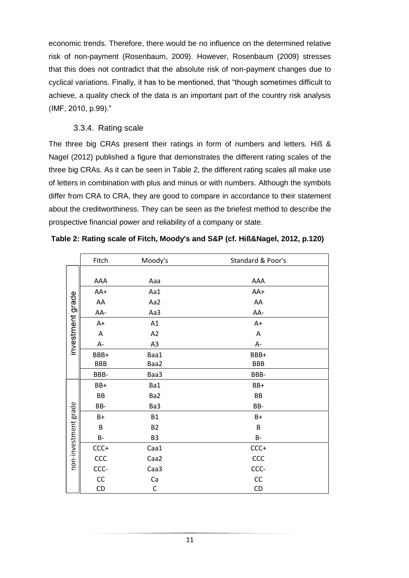economic trends. Therefore, there would be no influence on the determined relative risk of non-payment (Rosenbaum, 2009). However, Rosenbaum (2009) stresses that this does not contradict that the absolute risk of non-payment changes due to cyclical variations. Finally, it has to be mentioned, that "though sometimes difficult to achieve, a quality check of the data is an important part of the country risk analysis (IMF, 2010, p.99)."

### 3.3.4. Rating scale

The three big CRAs present their ratings in form of numbers and letters. Hiß & Nagel (2012) published a figure that demonstrates the different rating scales of the three big CRAs. As it can be seen in Table 2, the different rating scales all make use of letters in combination with plus and minus or with numbers. Although the symbols differ from CRA to CRA, they are good to compare in accordance to their statement about the creditworthiness. They can be seen as the briefest method to describe the prospective financial power and reliability of a company or state.

|                      | Fitch      | Moody's        | Standard & Poor's |
|----------------------|------------|----------------|-------------------|
|                      |            |                |                   |
|                      | AAA        | Aaa            | AAA               |
|                      | AA+        | Aa1            | AA+               |
|                      | ${\sf AA}$ | Aa2            | AA                |
|                      | AA-        | Aa3            | AA-               |
|                      | $A+$       | A1             | $A+$              |
|                      | Α          | A2             | Α                 |
| investment grade     | A-         | A3             | A-                |
|                      | BBB+       | Baa1           | BBB+              |
|                      | <b>BBB</b> | Baa2           | <b>BBB</b>        |
|                      | BBB-       | Baa3           | BBB-              |
|                      | BB+        | Ba1            | BB+               |
|                      | BB         | Ba2            | BB                |
|                      | BB-        | Ba3            | BB-               |
|                      | $B+$       | <b>B1</b>      | $B+$              |
|                      | B          | <b>B2</b>      | B                 |
|                      | <b>B-</b>  | B <sub>3</sub> | $B-$              |
| non-investment grade | $CCC+$     | Caa1           | $CCC +$           |
|                      | ccc        | Caa2           | CCC               |
|                      | CCC-       | Caa3           | CCC-              |
|                      | CC         | Ca             | CC                |
|                      | CD         | C              | CD                |

| Table 2: Rating scale of Fitch, Moody's and S&P (cf. Hiß&Nagel, 2012, p.120) |  |  |  |
|------------------------------------------------------------------------------|--|--|--|
|                                                                              |  |  |  |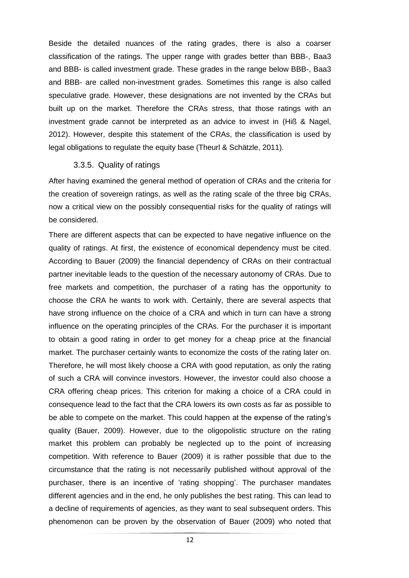Beside the detailed nuances of the rating grades, there is also a coarser classification of the ratings. The upper range with grades better than BBB-, Baa3 and BBB- is called investment grade. These grades in the range below BBB-, Baa3 and BBB- are called non-investment grades. Sometimes this range is also called speculative grade. However, these designations are not invented by the CRAs but built up on the market. Therefore the CRAs stress, that those ratings with an investment grade cannot be interpreted as an advice to invest in (Hiß & Nagel, 2012). However, despite this statement of the CRAs, the classification is used by legal obligations to regulate the equity base (Theurl & Schätzle, 2011).

#### 3.3.5. Quality of ratings

After having examined the general method of operation of CRAs and the criteria for the creation of sovereign ratings, as well as the rating scale of the three big CRAs, now a critical view on the possibly consequential risks for the quality of ratings will be considered.

There are different aspects that can be expected to have negative influence on the quality of ratings. At first, the existence of economical dependency must be cited. According to Bauer (2009) the financial dependency of CRAs on their contractual partner inevitable leads to the question of the necessary autonomy of CRAs. Due to free markets and competition, the purchaser of a rating has the opportunity to choose the CRA he wants to work with. Certainly, there are several aspects that have strong influence on the choice of a CRA and which in turn can have a strong influence on the operating principles of the CRAs. For the purchaser it is important to obtain a good rating in order to get money for a cheap price at the financial market. The purchaser certainly wants to economize the costs of the rating later on. Therefore, he will most likely choose a CRA with good reputation, as only the rating of such a CRA will convince investors. However, the investor could also choose a CRA offering cheap prices. This criterion for making a choice of a CRA could in consequence lead to the fact that the CRA lowers its own costs as far as possible to be able to compete on the market. This could happen at the expense of the rating's quality (Bauer, 2009). However, due to the oligopolistic structure on the rating market this problem can probably be neglected up to the point of increasing competition. With reference to Bauer (2009) it is rather possible that due to the circumstance that the rating is not necessarily published without approval of the purchaser, there is an incentive of 'rating shopping'. The purchaser mandates different agencies and in the end, he only publishes the best rating. This can lead to a decline of requirements of agencies, as they want to seal subsequent orders. This phenomenon can be proven by the observation of Bauer (2009) who noted that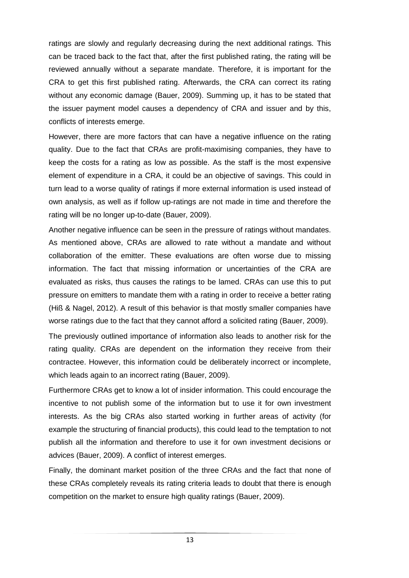ratings are slowly and regularly decreasing during the next additional ratings. This can be traced back to the fact that, after the first published rating, the rating will be reviewed annually without a separate mandate. Therefore, it is important for the CRA to get this first published rating. Afterwards, the CRA can correct its rating without any economic damage (Bauer, 2009). Summing up, it has to be stated that the issuer payment model causes a dependency of CRA and issuer and by this, conflicts of interests emerge.

However, there are more factors that can have a negative influence on the rating quality. Due to the fact that CRAs are profit-maximising companies, they have to keep the costs for a rating as low as possible. As the staff is the most expensive element of expenditure in a CRA, it could be an objective of savings. This could in turn lead to a worse quality of ratings if more external information is used instead of own analysis, as well as if follow up-ratings are not made in time and therefore the rating will be no longer up-to-date (Bauer, 2009).

Another negative influence can be seen in the pressure of ratings without mandates. As mentioned above, CRAs are allowed to rate without a mandate and without collaboration of the emitter. These evaluations are often worse due to missing information. The fact that missing information or uncertainties of the CRA are evaluated as risks, thus causes the ratings to be lamed. CRAs can use this to put pressure on emitters to mandate them with a rating in order to receive a better rating (Hiß & Nagel, 2012). A result of this behavior is that mostly smaller companies have worse ratings due to the fact that they cannot afford a solicited rating (Bauer, 2009).

The previously outlined importance of information also leads to another risk for the rating quality. CRAs are dependent on the information they receive from their contractee. However, this information could be deliberately incorrect or incomplete, which leads again to an incorrect rating (Bauer, 2009).

Furthermore CRAs get to know a lot of insider information. This could encourage the incentive to not publish some of the information but to use it for own investment interests. As the big CRAs also started working in further areas of activity (for example the structuring of financial products), this could lead to the temptation to not publish all the information and therefore to use it for own investment decisions or advices (Bauer, 2009). A conflict of interest emerges.

Finally, the dominant market position of the three CRAs and the fact that none of these CRAs completely reveals its rating criteria leads to doubt that there is enough competition on the market to ensure high quality ratings (Bauer, 2009).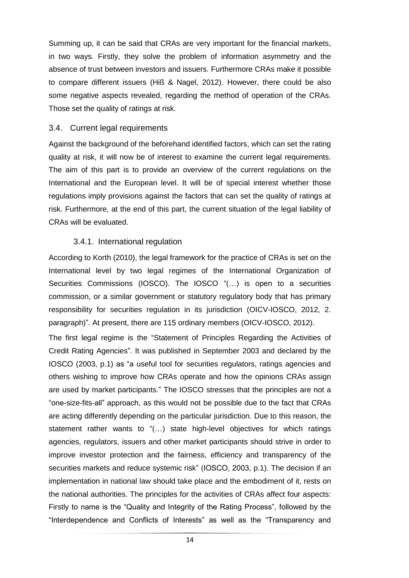Summing up, it can be said that CRAs are very important for the financial markets, in two ways. Firstly, they solve the problem of information asymmetry and the absence of trust between investors and issuers. Furthermore CRAs make it possible to compare different issuers (Hiß & Nagel, 2012). However, there could be also some negative aspects revealed, regarding the method of operation of the CRAs. Those set the quality of ratings at risk.

#### 3.4. Current legal requirements

Against the background of the beforehand identified factors, which can set the rating quality at risk, it will now be of interest to examine the current legal requirements. The aim of this part is to provide an overview of the current regulations on the International and the European level. It will be of special interest whether those regulations imply provisions against the factors that can set the quality of ratings at risk. Furthermore, at the end of this part, the current situation of the legal liability of CRAs will be evaluated.

#### 3.4.1. International regulation

According to Korth (2010), the legal framework for the practice of CRAs is set on the International level by two legal regimes of the International Organization of Securities Commissions (IOSCO). The IOSCO "(…) is open to a securities commission, or a similar government or statutory regulatory body that has primary responsibility for securities regulation in its jurisdiction (OICV-IOSCO, 2012, 2. paragraph)". At present, there are 115 ordinary members (OICV-IOSCO, 2012).

The first legal regime is the "Statement of Principles Regarding the Activities of Credit Rating Agencies". It was published in September 2003 and declared by the IOSCO (2003, p.1) as "a useful tool for securities regulators, ratings agencies and others wishing to improve how CRAs operate and how the opinions CRAs assign are used by market participants." The IOSCO stresses that the principles are not a "one-size-fits-all" approach, as this would not be possible due to the fact that CRAs are acting differently depending on the particular jurisdiction. Due to this reason, the statement rather wants to "(…) state high-level objectives for which ratings agencies, regulators, issuers and other market participants should strive in order to improve investor protection and the fairness, efficiency and transparency of the securities markets and reduce systemic risk" (IOSCO, 2003, p.1). The decision if an implementation in national law should take place and the embodiment of it, rests on the national authorities. The principles for the activities of CRAs affect four aspects: Firstly to name is the "Quality and Integrity of the Rating Process", followed by the "Interdependence and Conflicts of Interests" as well as the "Transparency and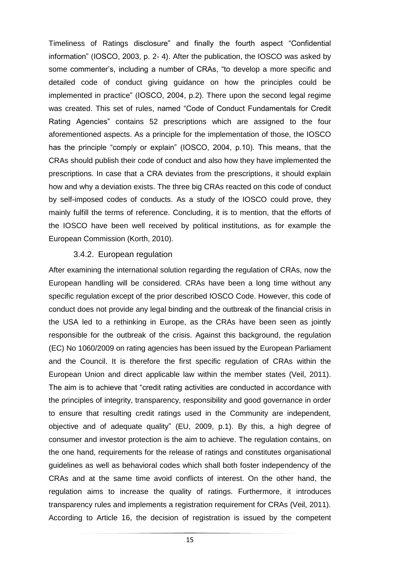Timeliness of Ratings disclosure" and finally the fourth aspect "Confidential information" (IOSCO, 2003, p. 2- 4). After the publication, the IOSCO was asked by some commenter's, including a number of CRAs, "to develop a more specific and detailed code of conduct giving guidance on how the principles could be implemented in practice" (IOSCO, 2004, p.2). There upon the second legal regime was created. This set of rules, named "Code of Conduct Fundamentals for Credit Rating Agencies" contains 52 prescriptions which are assigned to the four aforementioned aspects. As a principle for the implementation of those, the IOSCO has the principle "comply or explain" (IOSCO, 2004, p.10). This means, that the CRAs should publish their code of conduct and also how they have implemented the prescriptions. In case that a CRA deviates from the prescriptions, it should explain how and why a deviation exists. The three big CRAs reacted on this code of conduct by self-imposed codes of conducts. As a study of the IOSCO could prove, they mainly fulfill the terms of reference. Concluding, it is to mention, that the efforts of the IOSCO have been well received by political institutions, as for example the European Commission (Korth, 2010).

#### 3.4.2. European regulation

After examining the international solution regarding the regulation of CRAs, now the European handling will be considered. CRAs have been a long time without any specific regulation except of the prior described IOSCO Code. However, this code of conduct does not provide any legal binding and the outbreak of the financial crisis in the USA led to a rethinking in Europe, as the CRAs have been seen as jointly responsible for the outbreak of the crisis. Against this background, the regulation (EC) No 1060/2009 on rating agencies has been issued by the European Parliament and the Council. It is therefore the first specific regulation of CRAs within the European Union and direct applicable law within the member states (Veil, 2011). The aim is to achieve that "credit rating activities are conducted in accordance with the principles of integrity, transparency, responsibility and good governance in order to ensure that resulting credit ratings used in the Community are independent, objective and of adequate quality" (EU, 2009, p.1). By this, a high degree of consumer and investor protection is the aim to achieve. The regulation contains, on the one hand, requirements for the release of ratings and constitutes organisational guidelines as well as behavioral codes which shall both foster independency of the CRAs and at the same time avoid conflicts of interest. On the other hand, the regulation aims to increase the quality of ratings. Furthermore, it introduces transparency rules and implements a registration requirement for CRAs (Veil, 2011). According to Article 16, the decision of registration is issued by the competent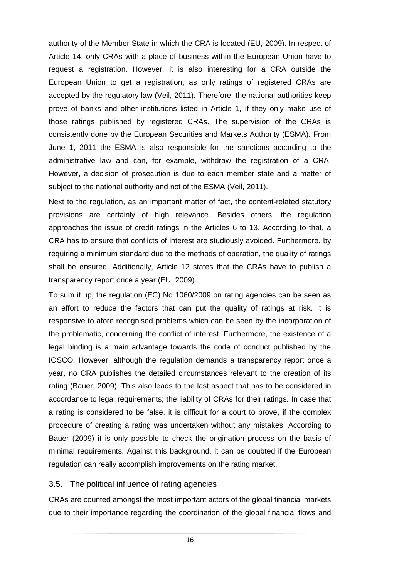authority of the Member State in which the CRA is located (EU, 2009). In respect of Article 14, only CRAs with a place of business within the European Union have to request a registration. However, it is also interesting for a CRA outside the European Union to get a registration, as only ratings of registered CRAs are accepted by the regulatory law (Veil, 2011). Therefore, the national authorities keep prove of banks and other institutions listed in Article 1, if they only make use of those ratings published by registered CRAs. The supervision of the CRAs is consistently done by the European Securities and Markets Authority (ESMA). From June 1, 2011 the ESMA is also responsible for the sanctions according to the administrative law and can, for example, withdraw the registration of a CRA. However, a decision of prosecution is due to each member state and a matter of subject to the national authority and not of the ESMA (Veil, 2011).

Next to the regulation, as an important matter of fact, the content-related statutory provisions are certainly of high relevance. Besides others, the regulation approaches the issue of credit ratings in the Articles 6 to 13. According to that, a CRA has to ensure that conflicts of interest are studiously avoided. Furthermore, by requiring a minimum standard due to the methods of operation, the quality of ratings shall be ensured. Additionally, Article 12 states that the CRAs have to publish a transparency report once a year (EU, 2009).

To sum it up, the regulation (EC) No 1060/2009 on rating agencies can be seen as an effort to reduce the factors that can put the quality of ratings at risk. It is responsive to afore recognised problems which can be seen by the incorporation of the problematic, concerning the conflict of interest. Furthermore, the existence of a legal binding is a main advantage towards the code of conduct published by the IOSCO. However, although the regulation demands a transparency report once a year, no CRA publishes the detailed circumstances relevant to the creation of its rating (Bauer, 2009). This also leads to the last aspect that has to be considered in accordance to legal requirements; the liability of CRAs for their ratings. In case that a rating is considered to be false, it is difficult for a court to prove, if the complex procedure of creating a rating was undertaken without any mistakes. According to Bauer (2009) it is only possible to check the origination process on the basis of minimal requirements. Against this background, it can be doubted if the European regulation can really accomplish improvements on the rating market.

#### 3.5. The political influence of rating agencies

CRAs are counted amongst the most important actors of the global financial markets due to their importance regarding the coordination of the global financial flows and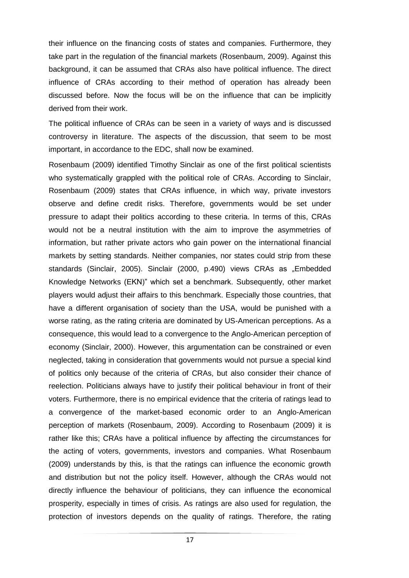their influence on the financing costs of states and companies. Furthermore, they take part in the regulation of the financial markets (Rosenbaum, 2009). Against this background, it can be assumed that CRAs also have political influence. The direct influence of CRAs according to their method of operation has already been discussed before. Now the focus will be on the influence that can be implicitly derived from their work.

The political influence of CRAs can be seen in a variety of ways and is discussed controversy in literature. The aspects of the discussion, that seem to be most important, in accordance to the EDC, shall now be examined.

Rosenbaum (2009) identified Timothy Sinclair as one of the first political scientists who systematically grappled with the political role of CRAs. According to Sinclair, Rosenbaum (2009) states that CRAs influence, in which way, private investors observe and define credit risks. Therefore, governments would be set under pressure to adapt their politics according to these criteria. In terms of this, CRAs would not be a neutral institution with the aim to improve the asymmetries of information, but rather private actors who gain power on the international financial markets by setting standards. Neither companies, nor states could strip from these standards (Sinclair, 2005). Sinclair (2000, p.490) views CRAs as "Embedded Knowledge Networks (EKN)" which set a benchmark. Subsequently, other market players would adjust their affairs to this benchmark. Especially those countries, that have a different organisation of society than the USA, would be punished with a worse rating, as the rating criteria are dominated by US-American perceptions. As a consequence, this would lead to a convergence to the Anglo-American perception of economy (Sinclair, 2000). However, this argumentation can be constrained or even neglected, taking in consideration that governments would not pursue a special kind of politics only because of the criteria of CRAs, but also consider their chance of reelection. Politicians always have to justify their political behaviour in front of their voters. Furthermore, there is no empirical evidence that the criteria of ratings lead to a convergence of the market-based economic order to an Anglo-American perception of markets (Rosenbaum, 2009). According to Rosenbaum (2009) it is rather like this; CRAs have a political influence by affecting the circumstances for the acting of voters, governments, investors and companies. What Rosenbaum (2009) understands by this, is that the ratings can influence the economic growth and distribution but not the policy itself. However, although the CRAs would not directly influence the behaviour of politicians, they can influence the economical prosperity, especially in times of crisis. As ratings are also used for regulation, the protection of investors depends on the quality of ratings. Therefore, the rating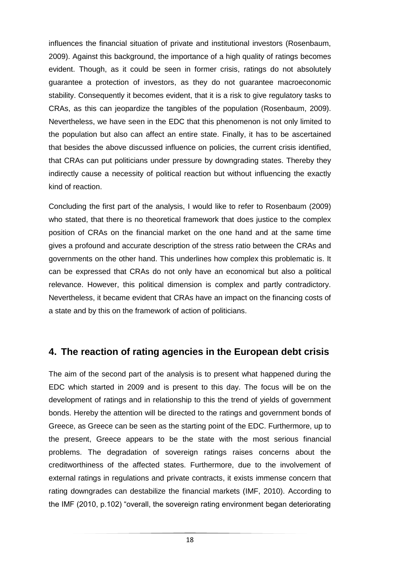influences the financial situation of private and institutional investors (Rosenbaum, 2009). Against this background, the importance of a high quality of ratings becomes evident. Though, as it could be seen in former crisis, ratings do not absolutely guarantee a protection of investors, as they do not guarantee macroeconomic stability. Consequently it becomes evident, that it is a risk to give regulatory tasks to CRAs, as this can jeopardize the tangibles of the population (Rosenbaum, 2009). Nevertheless, we have seen in the EDC that this phenomenon is not only limited to the population but also can affect an entire state. Finally, it has to be ascertained that besides the above discussed influence on policies, the current crisis identified, that CRAs can put politicians under pressure by downgrading states. Thereby they indirectly cause a necessity of political reaction but without influencing the exactly kind of reaction.

Concluding the first part of the analysis, I would like to refer to Rosenbaum (2009) who stated, that there is no theoretical framework that does justice to the complex position of CRAs on the financial market on the one hand and at the same time gives a profound and accurate description of the stress ratio between the CRAs and governments on the other hand. This underlines how complex this problematic is. It can be expressed that CRAs do not only have an economical but also a political relevance. However, this political dimension is complex and partly contradictory. Nevertheless, it became evident that CRAs have an impact on the financing costs of a state and by this on the framework of action of politicians.

# **4. The reaction of rating agencies in the European debt crisis**

The aim of the second part of the analysis is to present what happened during the EDC which started in 2009 and is present to this day. The focus will be on the development of ratings and in relationship to this the trend of yields of government bonds. Hereby the attention will be directed to the ratings and government bonds of Greece, as Greece can be seen as the starting point of the EDC. Furthermore, up to the present, Greece appears to be the state with the most serious financial problems. The degradation of sovereign ratings raises concerns about the creditworthiness of the affected states. Furthermore, due to the involvement of external ratings in regulations and private contracts, it exists immense concern that rating downgrades can destabilize the financial markets (IMF, 2010). According to the IMF (2010, p.102) "overall, the sovereign rating environment began deteriorating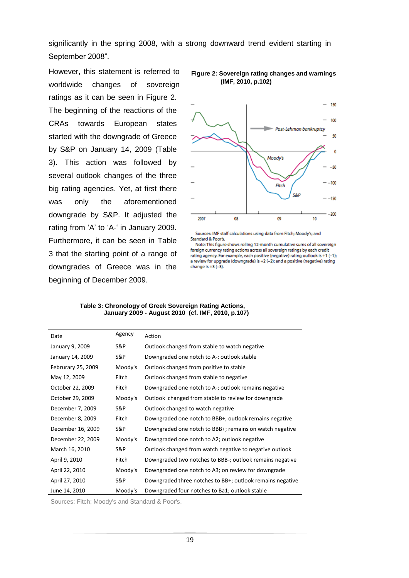significantly in the spring 2008, with a strong downward trend evident starting in September 2008".

However, this statement is referred to worldwide changes of sovereign ratings as it can be seen in Figure 2. The beginning of the reactions of the CRAs towards European states started with the downgrade of Greece by S&P on January 14, 2009 (Table 3). This action was followed by several outlook changes of the three big rating agencies. Yet, at first there was only the aforementioned downgrade by S&P. It adjusted the rating from 'A' to 'A-' in January 2009. Furthermore, it can be seen in Table 3 that the starting point of a range of downgrades of Greece was in the beginning of December 2009.



**Figure 2: Sovereign rating changes and warnings (IMF, 2010, p.102)** 

Sources: IMF staff calculations using data from Fitch; Moody's; and Standard & Poor's.

Note: This figure shows rolling 12-month cumulative sums of all sovereign foreign currency rating actions across all sovereign ratings by each credit rating agency. For example, each positive (negative) rating outlook is +1 (-1); a review for upgrade (downgrade) is +2 (-2); and a positive (negative) rating change is  $+3$   $(-3)$ .

| Date               | Agency  | Action                                                    |
|--------------------|---------|-----------------------------------------------------------|
| January 9, 2009    | S&P     | Outlook changed from stable to watch negative             |
| January 14, 2009   | S&P     | Downgraded one notch to A-; outlook stable                |
| Februrary 25, 2009 | Moody's | Outlook changed from positive to stable                   |
| May 12, 2009       | Fitch   | Outlook changed from stable to negative                   |
| October 22, 2009   | Fitch   | Downgraded one notch to A-; outlook remains negative      |
| October 29, 2009   | Moody's | Outlook changed from stable to review for downgrade       |
| December 7, 2009   | S&P     | Outlook changed to watch negative                         |
| December 8, 2009   | Fitch   | Downgraded one notch to BBB+; outlook remains negative    |
| December 16, 2009  | S&P     | Downgraded one notch to BBB+; remains on watch negative   |
| December 22, 2009  | Moody's | Downgraded one notch to A2; outlook negative              |
| March 16, 2010     | S&P     | Outlook changed from watch negative to negative outlook   |
| April 9, 2010      | Fitch   | Downgraded two notches to BBB-; outlook remains negative  |
| April 22, 2010     | Moody's | Downgraded one notch to A3; on review for downgrade       |
| April 27, 2010     | S&P     | Downgraded three notches to BB+; outlook remains negative |
| June 14, 2010      | Moody's | Downgraded four notches to Ba1; outlook stable            |

 **Table 3: Chronology of Greek Sovereign Rating Actions, January 2009 - August 2010 (cf. IMF, 2010, p.107)**

Sources: Fitch; Moody's and Standard & Poor's.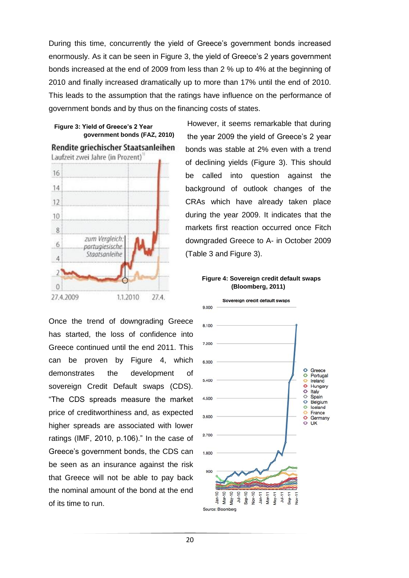During this time, concurrently the yield of Greece's government bonds increased enormously. As it can be seen in Figure 3, the yield of Greece's 2 years government bonds increased at the end of 2009 from less than 2 % up to 4% at the beginning of 2010 and finally increased dramatically up to more than 17% until the end of 2010. This leads to the assumption that the ratings have influence on the performance of government bonds and by thus on the financing costs of states.

#### **Figure 3: Yield of Greece's 2 Year government bonds (FAZ, 2010)**



Once the trend of downgrading Greece has started, the loss of confidence into Greece continued until the end 2011. This can be proven by Figure 4, which demonstrates the development of sovereign Credit Default swaps (CDS). "The CDS spreads measure the market price of creditworthiness and, as expected higher spreads are associated with lower ratings (IMF, 2010, p.106)." In the case of Greece's government bonds, the CDS can be seen as an insurance against the risk that Greece will not be able to pay back the nominal amount of the bond at the end of its time to run.

However, it seems remarkable that during the year 2009 the yield of Greece's 2 year bonds was stable at 2% even with a trend of declining yields (Figure 3). This should be called into question against the background of outlook changes of the CRAs which have already taken place during the year 2009. It indicates that the markets first reaction occurred once Fitch downgraded Greece to A- in October 2009 (Table 3 and Figure 3).

#### **Figure 4: Sovereign credit default swaps (Bloomberg, 2011)**

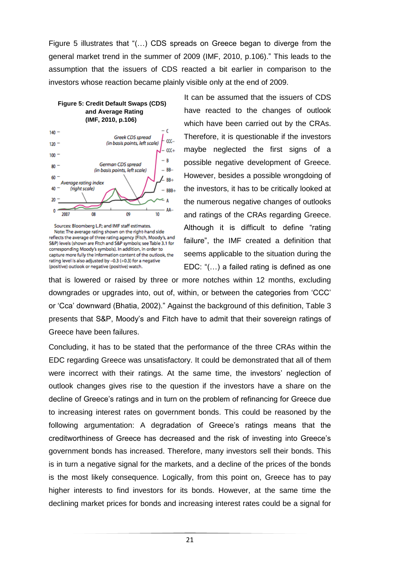Figure 5 illustrates that "(…) CDS spreads on Greece began to diverge from the general market trend in the summer of 2009 (IMF, 2010, p.106)." This leads to the assumption that the issuers of CDS reacted a bit earlier in comparison to the investors whose reaction became plainly visible only at the end of 2009.

#### **Figure 5: Credit Default Swaps (CDS) and Average Rating (IMF, 2010, p.106)**



Sources: Bloomberg L.P.; and IMF staff estimates. Note: The average rating shown on the right-hand side reflects the average of three rating agency (Fitch, Moody's, and S&P) levels (shown are Fitch and S&P symbols; see Table 3.1 for corresponding Moody's symbols). In addition, in order to capture more fully the information content of the outlook, the rating level is also adjusted by -0.3 (+0.3) for a negative (positive) outlook or negative (positive) watch.

It can be assumed that the issuers of CDS have reacted to the changes of outlook which have been carried out by the CRAs. Therefore, it is questionable if the investors maybe neglected the first signs of a possible negative development of Greece. However, besides a possible wrongdoing of the investors, it has to be critically looked at the numerous negative changes of outlooks and ratings of the CRAs regarding Greece. Although it is difficult to define "rating failure", the IMF created a definition that seems applicable to the situation during the EDC: "(…) a failed rating is defined as one

that is lowered or raised by three or more notches within 12 months, excluding downgrades or upgrades into, out of, within, or between the categories from 'CCC' or 'Cca' downward (Bhatia, 2002)." Against the background of this definition, Table 3 presents that S&P, Moody's and Fitch have to admit that their sovereign ratings of Greece have been failures.

Concluding, it has to be stated that the performance of the three CRAs within the EDC regarding Greece was unsatisfactory. It could be demonstrated that all of them were incorrect with their ratings. At the same time, the investors' neglection of outlook changes gives rise to the question if the investors have a share on the decline of Greece's ratings and in turn on the problem of refinancing for Greece due to increasing interest rates on government bonds. This could be reasoned by the following argumentation: A degradation of Greece's ratings means that the creditworthiness of Greece has decreased and the risk of investing into Greece's government bonds has increased. Therefore, many investors sell their bonds. This is in turn a negative signal for the markets, and a decline of the prices of the bonds is the most likely consequence. Logically, from this point on, Greece has to pay higher interests to find investors for its bonds. However, at the same time the declining market prices for bonds and increasing interest rates could be a signal for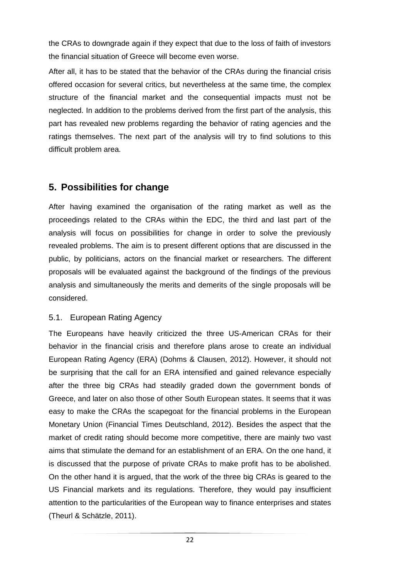the CRAs to downgrade again if they expect that due to the loss of faith of investors the financial situation of Greece will become even worse.

After all, it has to be stated that the behavior of the CRAs during the financial crisis offered occasion for several critics, but nevertheless at the same time, the complex structure of the financial market and the consequential impacts must not be neglected. In addition to the problems derived from the first part of the analysis, this part has revealed new problems regarding the behavior of rating agencies and the ratings themselves. The next part of the analysis will try to find solutions to this difficult problem area.

# **5. Possibilities for change**

After having examined the organisation of the rating market as well as the proceedings related to the CRAs within the EDC, the third and last part of the analysis will focus on possibilities for change in order to solve the previously revealed problems. The aim is to present different options that are discussed in the public, by politicians, actors on the financial market or researchers. The different proposals will be evaluated against the background of the findings of the previous analysis and simultaneously the merits and demerits of the single proposals will be considered.

### 5.1. European Rating Agency

The Europeans have heavily criticized the three US-American CRAs for their behavior in the financial crisis and therefore plans arose to create an individual European Rating Agency (ERA) (Dohms & Clausen, 2012). However, it should not be surprising that the call for an ERA intensified and gained relevance especially after the three big CRAs had steadily graded down the government bonds of Greece, and later on also those of other South European states. It seems that it was easy to make the CRAs the scapegoat for the financial problems in the European Monetary Union (Financial Times Deutschland, 2012). Besides the aspect that the market of credit rating should become more competitive, there are mainly two vast aims that stimulate the demand for an establishment of an ERA. On the one hand, it is discussed that the purpose of private CRAs to make profit has to be abolished. On the other hand it is argued, that the work of the three big CRAs is geared to the US Financial markets and its regulations. Therefore, they would pay insufficient attention to the particularities of the European way to finance enterprises and states (Theurl & Schätzle, 2011).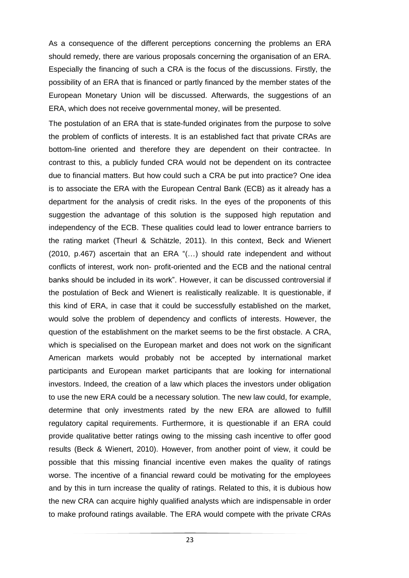As a consequence of the different perceptions concerning the problems an ERA should remedy, there are various proposals concerning the organisation of an ERA. Especially the financing of such a CRA is the focus of the discussions. Firstly, the possibility of an ERA that is financed or partly financed by the member states of the European Monetary Union will be discussed. Afterwards, the suggestions of an ERA, which does not receive governmental money, will be presented.

The postulation of an ERA that is state-funded originates from the purpose to solve the problem of conflicts of interests. It is an established fact that private CRAs are bottom-line oriented and therefore they are dependent on their contractee. In contrast to this, a publicly funded CRA would not be dependent on its contractee due to financial matters. But how could such a CRA be put into practice? One idea is to associate the ERA with the European Central Bank (ECB) as it already has a department for the analysis of credit risks. In the eyes of the proponents of this suggestion the advantage of this solution is the supposed high reputation and independency of the ECB. These qualities could lead to lower entrance barriers to the rating market (Theurl & Schätzle, 2011). In this context, Beck and Wienert (2010, p.467) ascertain that an ERA "(…) should rate independent and without conflicts of interest, work non- profit-oriented and the ECB and the national central banks should be included in its work". However, it can be discussed controversial if the postulation of Beck and Wienert is realistically realizable. It is questionable, if this kind of ERA, in case that it could be successfully established on the market, would solve the problem of dependency and conflicts of interests. However, the question of the establishment on the market seems to be the first obstacle. A CRA, which is specialised on the European market and does not work on the significant American markets would probably not be accepted by international market participants and European market participants that are looking for international investors. Indeed, the creation of a law which places the investors under obligation to use the new ERA could be a necessary solution. The new law could, for example, determine that only investments rated by the new ERA are allowed to fulfill regulatory capital requirements. Furthermore, it is questionable if an ERA could provide qualitative better ratings owing to the missing cash incentive to offer good results (Beck & Wienert, 2010). However, from another point of view, it could be possible that this missing financial incentive even makes the quality of ratings worse. The incentive of a financial reward could be motivating for the employees and by this in turn increase the quality of ratings. Related to this, it is dubious how the new CRA can acquire highly qualified analysts which are indispensable in order to make profound ratings available. The ERA would compete with the private CRAs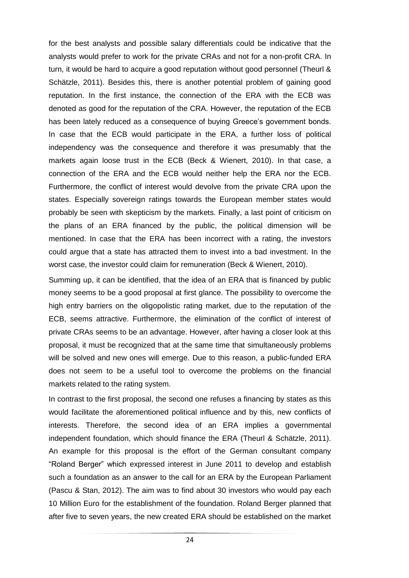for the best analysts and possible salary differentials could be indicative that the analysts would prefer to work for the private CRAs and not for a non-profit CRA. In turn, it would be hard to acquire a good reputation without good personnel (Theurl & Schätzle, 2011). Besides this, there is another potential problem of gaining good reputation. In the first instance, the connection of the ERA with the ECB was denoted as good for the reputation of the CRA. However, the reputation of the ECB has been lately reduced as a consequence of buying Greece's government bonds. In case that the ECB would participate in the ERA, a further loss of political independency was the consequence and therefore it was presumably that the markets again loose trust in the ECB (Beck & Wienert, 2010). In that case, a connection of the ERA and the ECB would neither help the ERA nor the ECB. Furthermore, the conflict of interest would devolve from the private CRA upon the states. Especially sovereign ratings towards the European member states would probably be seen with skepticism by the markets. Finally, a last point of criticism on the plans of an ERA financed by the public, the political dimension will be mentioned. In case that the ERA has been incorrect with a rating, the investors could argue that a state has attracted them to invest into a bad investment. In the worst case, the investor could claim for remuneration (Beck & Wienert, 2010).

Summing up, it can be identified, that the idea of an ERA that is financed by public money seems to be a good proposal at first glance. The possibility to overcome the high entry barriers on the oligopolistic rating market, due to the reputation of the ECB, seems attractive. Furthermore, the elimination of the conflict of interest of private CRAs seems to be an advantage. However, after having a closer look at this proposal, it must be recognized that at the same time that simultaneously problems will be solved and new ones will emerge. Due to this reason, a public-funded ERA does not seem to be a useful tool to overcome the problems on the financial markets related to the rating system.

In contrast to the first proposal, the second one refuses a financing by states as this would facilitate the aforementioned political influence and by this, new conflicts of interests. Therefore, the second idea of an ERA implies a governmental independent foundation, which should finance the ERA (Theurl & Schätzle, 2011). An example for this proposal is the effort of the German consultant company "Roland Berger" which expressed interest in June 2011 to develop and establish such a foundation as an answer to the call for an ERA by the European Parliament (Pascu & Stan, 2012). The aim was to find about 30 investors who would pay each 10 Million Euro for the establishment of the foundation. Roland Berger planned that after five to seven years, the new created ERA should be established on the market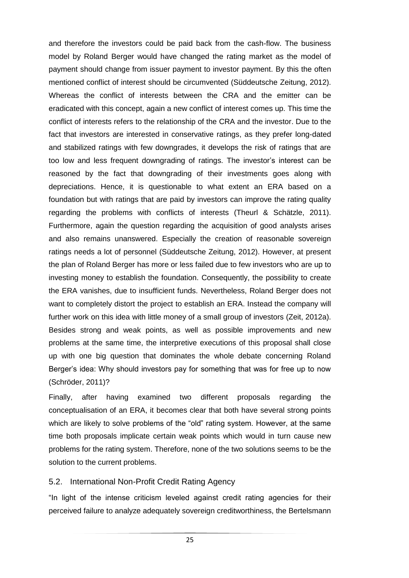and therefore the investors could be paid back from the cash-flow. The business model by Roland Berger would have changed the rating market as the model of payment should change from issuer payment to investor payment. By this the often mentioned conflict of interest should be circumvented (Süddeutsche Zeitung, 2012). Whereas the conflict of interests between the CRA and the emitter can be eradicated with this concept, again a new conflict of interest comes up. This time the conflict of interests refers to the relationship of the CRA and the investor. Due to the fact that investors are interested in conservative ratings, as they prefer long-dated and stabilized ratings with few downgrades, it develops the risk of ratings that are too low and less frequent downgrading of ratings. The investor's interest can be reasoned by the fact that downgrading of their investments goes along with depreciations. Hence, it is questionable to what extent an ERA based on a foundation but with ratings that are paid by investors can improve the rating quality regarding the problems with conflicts of interests (Theurl & Schätzle, 2011). Furthermore, again the question regarding the acquisition of good analysts arises and also remains unanswered. Especially the creation of reasonable sovereign ratings needs a lot of personnel (Süddeutsche Zeitung, 2012). However, at present the plan of Roland Berger has more or less failed due to few investors who are up to investing money to establish the foundation. Consequently, the possibility to create the ERA vanishes, due to insufficient funds. Nevertheless, Roland Berger does not want to completely distort the project to establish an ERA. Instead the company will further work on this idea with little money of a small group of investors (Zeit, 2012a). Besides strong and weak points, as well as possible improvements and new problems at the same time, the interpretive executions of this proposal shall close up with one big question that dominates the whole debate concerning Roland Berger's idea: Why should investors pay for something that was for free up to now (Schröder, 2011)?

Finally, after having examined two different proposals regarding the conceptualisation of an ERA, it becomes clear that both have several strong points which are likely to solve problems of the "old" rating system. However, at the same time both proposals implicate certain weak points which would in turn cause new problems for the rating system. Therefore, none of the two solutions seems to be the solution to the current problems.

#### 5.2. International Non-Profit Credit Rating Agency

"In light of the intense criticism leveled against credit rating agencies for their perceived failure to analyze adequately sovereign creditworthiness, the Bertelsmann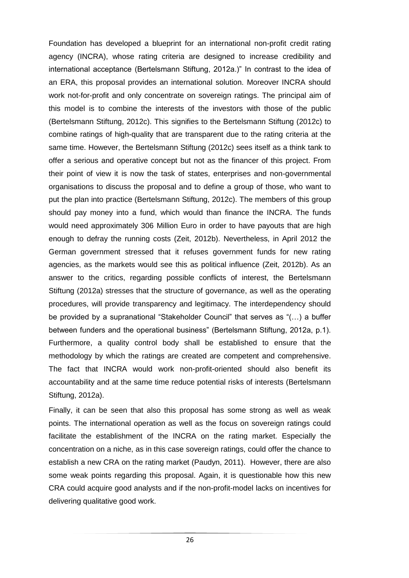Foundation has developed a blueprint for an international non-profit credit rating agency (INCRA), whose rating criteria are designed to increase credibility and international acceptance (Bertelsmann Stiftung, 2012a.)" In contrast to the idea of an ERA, this proposal provides an international solution. Moreover INCRA should work not-for-profit and only concentrate on sovereign ratings. The principal aim of this model is to combine the interests of the investors with those of the public (Bertelsmann Stiftung, 2012c). This signifies to the Bertelsmann Stiftung (2012c) to combine ratings of high-quality that are transparent due to the rating criteria at the same time. However, the Bertelsmann Stiftung (2012c) sees itself as a think tank to offer a serious and operative concept but not as the financer of this project. From their point of view it is now the task of states, enterprises and non-governmental organisations to discuss the proposal and to define a group of those, who want to put the plan into practice (Bertelsmann Stiftung, 2012c). The members of this group should pay money into a fund, which would than finance the INCRA. The funds would need approximately 306 Million Euro in order to have payouts that are high enough to defray the running costs (Zeit, 2012b). Nevertheless, in April 2012 the German government stressed that it refuses government funds for new rating agencies, as the markets would see this as political influence (Zeit, 2012b). As an answer to the critics, regarding possible conflicts of interest, the Bertelsmann Stiftung (2012a) stresses that the structure of governance, as well as the operating procedures, will provide transparency and legitimacy. The interdependency should be provided by a supranational "Stakeholder Council" that serves as "(…) a buffer between funders and the operational business" (Bertelsmann Stiftung, 2012a, p.1). Furthermore, a quality control body shall be established to ensure that the methodology by which the ratings are created are competent and comprehensive. The fact that INCRA would work non-profit-oriented should also benefit its accountability and at the same time reduce potential risks of interests (Bertelsmann Stiftung, 2012a).

Finally, it can be seen that also this proposal has some strong as well as weak points. The international operation as well as the focus on sovereign ratings could facilitate the establishment of the INCRA on the rating market. Especially the concentration on a niche, as in this case sovereign ratings, could offer the chance to establish a new CRA on the rating market (Paudyn, 2011). However, there are also some weak points regarding this proposal. Again, it is questionable how this new CRA could acquire good analysts and if the non-profit-model lacks on incentives for delivering qualitative good work.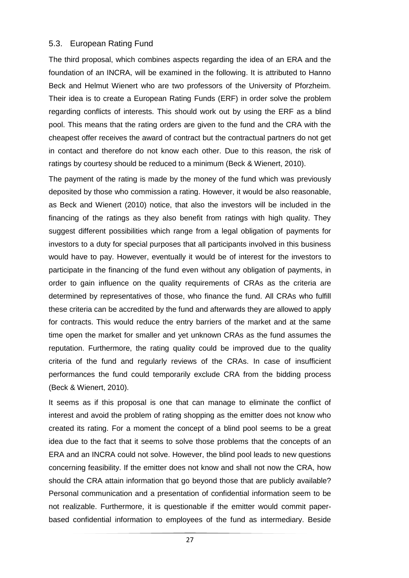### 5.3. European Rating Fund

The third proposal, which combines aspects regarding the idea of an ERA and the foundation of an INCRA, will be examined in the following. It is attributed to Hanno Beck and Helmut Wienert who are two professors of the University of Pforzheim. Their idea is to create a European Rating Funds (ERF) in order solve the problem regarding conflicts of interests. This should work out by using the ERF as a blind pool. This means that the rating orders are given to the fund and the CRA with the cheapest offer receives the award of contract but the contractual partners do not get in contact and therefore do not know each other. Due to this reason, the risk of ratings by courtesy should be reduced to a minimum (Beck & Wienert, 2010).

The payment of the rating is made by the money of the fund which was previously deposited by those who commission a rating. However, it would be also reasonable, as Beck and Wienert (2010) notice, that also the investors will be included in the financing of the ratings as they also benefit from ratings with high quality. They suggest different possibilities which range from a legal obligation of payments for investors to a duty for special purposes that all participants involved in this business would have to pay. However, eventually it would be of interest for the investors to participate in the financing of the fund even without any obligation of payments, in order to gain influence on the quality requirements of CRAs as the criteria are determined by representatives of those, who finance the fund. All CRAs who fulfill these criteria can be accredited by the fund and afterwards they are allowed to apply for contracts. This would reduce the entry barriers of the market and at the same time open the market for smaller and yet unknown CRAs as the fund assumes the reputation. Furthermore, the rating quality could be improved due to the quality criteria of the fund and regularly reviews of the CRAs. In case of insufficient performances the fund could temporarily exclude CRA from the bidding process (Beck & Wienert, 2010).

It seems as if this proposal is one that can manage to eliminate the conflict of interest and avoid the problem of rating shopping as the emitter does not know who created its rating. For a moment the concept of a blind pool seems to be a great idea due to the fact that it seems to solve those problems that the concepts of an ERA and an INCRA could not solve. However, the blind pool leads to new questions concerning feasibility. If the emitter does not know and shall not now the CRA, how should the CRA attain information that go beyond those that are publicly available? Personal communication and a presentation of confidential information seem to be not realizable. Furthermore, it is questionable if the emitter would commit paperbased confidential information to employees of the fund as intermediary. Beside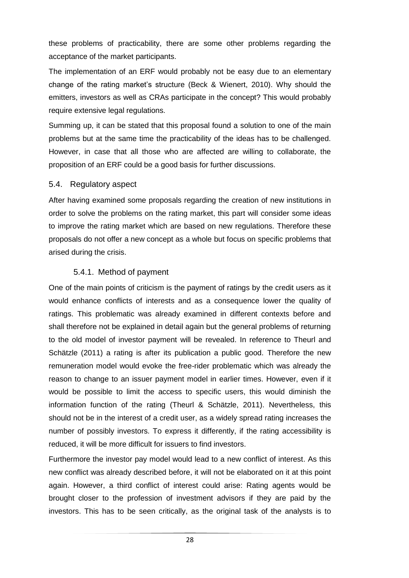these problems of practicability, there are some other problems regarding the acceptance of the market participants.

The implementation of an ERF would probably not be easy due to an elementary change of the rating market's structure (Beck & Wienert, 2010). Why should the emitters, investors as well as CRAs participate in the concept? This would probably require extensive legal regulations.

Summing up, it can be stated that this proposal found a solution to one of the main problems but at the same time the practicability of the ideas has to be challenged. However, in case that all those who are affected are willing to collaborate, the proposition of an ERF could be a good basis for further discussions.

### 5.4. Regulatory aspect

After having examined some proposals regarding the creation of new institutions in order to solve the problems on the rating market, this part will consider some ideas to improve the rating market which are based on new regulations. Therefore these proposals do not offer a new concept as a whole but focus on specific problems that arised during the crisis.

### 5.4.1. Method of payment

One of the main points of criticism is the payment of ratings by the credit users as it would enhance conflicts of interests and as a consequence lower the quality of ratings. This problematic was already examined in different contexts before and shall therefore not be explained in detail again but the general problems of returning to the old model of investor payment will be revealed. In reference to Theurl and Schätzle (2011) a rating is after its publication a public good. Therefore the new remuneration model would evoke the free-rider problematic which was already the reason to change to an issuer payment model in earlier times. However, even if it would be possible to limit the access to specific users, this would diminish the information function of the rating (Theurl & Schätzle, 2011). Nevertheless, this should not be in the interest of a credit user, as a widely spread rating increases the number of possibly investors. To express it differently, if the rating accessibility is reduced, it will be more difficult for issuers to find investors.

Furthermore the investor pay model would lead to a new conflict of interest. As this new conflict was already described before, it will not be elaborated on it at this point again. However, a third conflict of interest could arise: Rating agents would be brought closer to the profession of investment advisors if they are paid by the investors. This has to be seen critically, as the original task of the analysts is to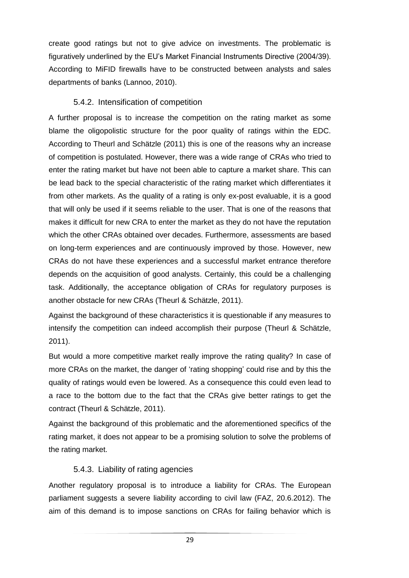create good ratings but not to give advice on investments. The problematic is figuratively underlined by the EU's Market Financial Instruments Directive (2004/39). According to MiFID firewalls have to be constructed between analysts and sales departments of banks (Lannoo, 2010).

### 5.4.2. Intensification of competition

A further proposal is to increase the competition on the rating market as some blame the oligopolistic structure for the poor quality of ratings within the EDC. According to Theurl and Schätzle (2011) this is one of the reasons why an increase of competition is postulated. However, there was a wide range of CRAs who tried to enter the rating market but have not been able to capture a market share. This can be lead back to the special characteristic of the rating market which differentiates it from other markets. As the quality of a rating is only ex-post evaluable, it is a good that will only be used if it seems reliable to the user. That is one of the reasons that makes it difficult for new CRA to enter the market as they do not have the reputation which the other CRAs obtained over decades. Furthermore, assessments are based on long-term experiences and are continuously improved by those. However, new CRAs do not have these experiences and a successful market entrance therefore depends on the acquisition of good analysts. Certainly, this could be a challenging task. Additionally, the acceptance obligation of CRAs for regulatory purposes is another obstacle for new CRAs (Theurl & Schätzle, 2011).

Against the background of these characteristics it is questionable if any measures to intensify the competition can indeed accomplish their purpose (Theurl & Schätzle, 2011).

But would a more competitive market really improve the rating quality? In case of more CRAs on the market, the danger of 'rating shopping' could rise and by this the quality of ratings would even be lowered. As a consequence this could even lead to a race to the bottom due to the fact that the CRAs give better ratings to get the contract (Theurl & Schätzle, 2011).

Against the background of this problematic and the aforementioned specifics of the rating market, it does not appear to be a promising solution to solve the problems of the rating market.

### 5.4.3. Liability of rating agencies

Another regulatory proposal is to introduce a liability for CRAs. The European parliament suggests a severe liability according to civil law (FAZ, 20.6.2012). The aim of this demand is to impose sanctions on CRAs for failing behavior which is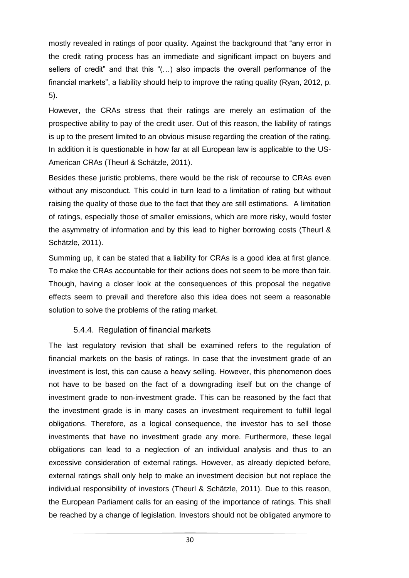mostly revealed in ratings of poor quality. Against the background that "any error in the credit rating process has an immediate and significant impact on buyers and sellers of credit" and that this "(…) also impacts the overall performance of the financial markets", a liability should help to improve the rating quality (Ryan, 2012, p. 5).

However, the CRAs stress that their ratings are merely an estimation of the prospective ability to pay of the credit user. Out of this reason, the liability of ratings is up to the present limited to an obvious misuse regarding the creation of the rating. In addition it is questionable in how far at all European law is applicable to the US-American CRAs (Theurl & Schätzle, 2011).

Besides these juristic problems, there would be the risk of recourse to CRAs even without any misconduct. This could in turn lead to a limitation of rating but without raising the quality of those due to the fact that they are still estimations. A limitation of ratings, especially those of smaller emissions, which are more risky, would foster the asymmetry of information and by this lead to higher borrowing costs (Theurl & Schätzle, 2011).

Summing up, it can be stated that a liability for CRAs is a good idea at first glance. To make the CRAs accountable for their actions does not seem to be more than fair. Though, having a closer look at the consequences of this proposal the negative effects seem to prevail and therefore also this idea does not seem a reasonable solution to solve the problems of the rating market.

### 5.4.4. Regulation of financial markets

The last regulatory revision that shall be examined refers to the regulation of financial markets on the basis of ratings. In case that the investment grade of an investment is lost, this can cause a heavy selling. However, this phenomenon does not have to be based on the fact of a downgrading itself but on the change of investment grade to non-investment grade. This can be reasoned by the fact that the investment grade is in many cases an investment requirement to fulfill legal obligations. Therefore, as a logical consequence, the investor has to sell those investments that have no investment grade any more. Furthermore, these legal obligations can lead to a neglection of an individual analysis and thus to an excessive consideration of external ratings. However, as already depicted before, external ratings shall only help to make an investment decision but not replace the individual responsibility of investors (Theurl & Schätzle, 2011). Due to this reason, the European Parliament calls for an easing of the importance of ratings. This shall be reached by a change of legislation. Investors should not be obligated anymore to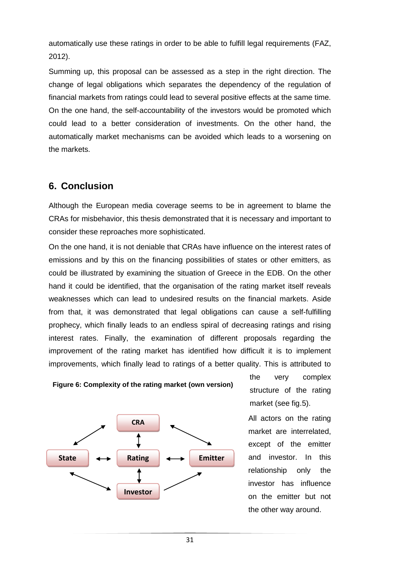automatically use these ratings in order to be able to fulfill legal requirements (FAZ, 2012).

Summing up, this proposal can be assessed as a step in the right direction. The change of legal obligations which separates the dependency of the regulation of financial markets from ratings could lead to several positive effects at the same time. On the one hand, the self-accountability of the investors would be promoted which could lead to a better consideration of investments. On the other hand, the automatically market mechanisms can be avoided which leads to a worsening on the markets.

# **6. Conclusion**

Although the European media coverage seems to be in agreement to blame the CRAs for misbehavior, this thesis demonstrated that it is necessary and important to consider these reproaches more sophisticated.

On the one hand, it is not deniable that CRAs have influence on the interest rates of emissions and by this on the financing possibilities of states or other emitters, as could be illustrated by examining the situation of Greece in the EDB. On the other hand it could be identified, that the organisation of the rating market itself reveals weaknesses which can lead to undesired results on the financial markets. Aside from that, it was demonstrated that legal obligations can cause a self-fulfilling prophecy, which finally leads to an endless spiral of decreasing ratings and rising interest rates. Finally, the examination of different proposals regarding the improvement of the rating market has identified how difficult it is to implement improvements, which finally lead to ratings of a better quality. This is attributed to



**Figure 6: Complexity of the rating market (own version)**

the very complex structure of the rating market (see fig.5).

All actors on the rating market are interrelated, except of the emitter and investor. In this relationship only the investor has influence on the emitter but not the other way around.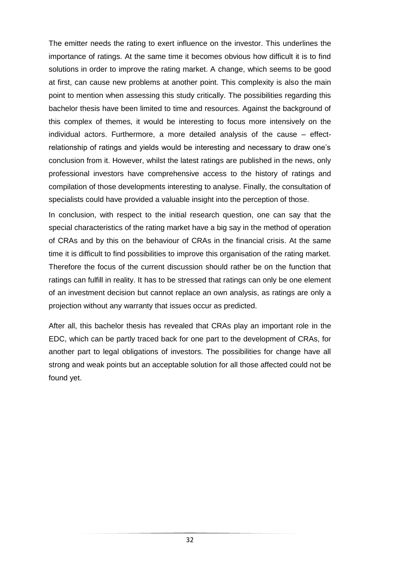The emitter needs the rating to exert influence on the investor. This underlines the importance of ratings. At the same time it becomes obvious how difficult it is to find solutions in order to improve the rating market. A change, which seems to be good at first, can cause new problems at another point. This complexity is also the main point to mention when assessing this study critically. The possibilities regarding this bachelor thesis have been limited to time and resources. Against the background of this complex of themes, it would be interesting to focus more intensively on the individual actors. Furthermore, a more detailed analysis of the cause – effectrelationship of ratings and yields would be interesting and necessary to draw one's conclusion from it. However, whilst the latest ratings are published in the news, only professional investors have comprehensive access to the history of ratings and compilation of those developments interesting to analyse. Finally, the consultation of specialists could have provided a valuable insight into the perception of those.

In conclusion, with respect to the initial research question, one can say that the special characteristics of the rating market have a big say in the method of operation of CRAs and by this on the behaviour of CRAs in the financial crisis. At the same time it is difficult to find possibilities to improve this organisation of the rating market. Therefore the focus of the current discussion should rather be on the function that ratings can fulfill in reality. It has to be stressed that ratings can only be one element of an investment decision but cannot replace an own analysis, as ratings are only a projection without any warranty that issues occur as predicted.

After all, this bachelor thesis has revealed that CRAs play an important role in the EDC, which can be partly traced back for one part to the development of CRAs, for another part to legal obligations of investors. The possibilities for change have all strong and weak points but an acceptable solution for all those affected could not be found yet.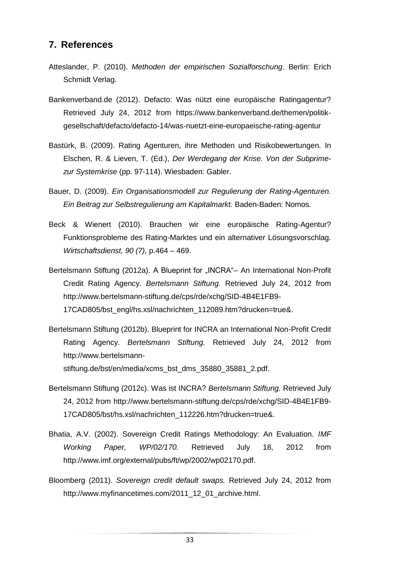# **7. References**

- Atteslander, P. (2010). *Methoden der empirischen Sozialforschung*. Berlin: Erich Schmidt Verlag.
- Bankenverband.de (2012). Defacto: Was nützt eine europäische Ratingagentur? Retrieved July 24, 2012 from https://www.bankenverband.de/themen/politikgesellschaft/defacto/defacto-14/was-nuetzt-eine-europaeische-rating-agentur
- Bastürk, B. (2009). Rating Agenturen, ihre Methoden und Risikobewertungen. In Elschen, R. & Lieven, T. (Ed.), *Der Werdegang der Krise. Von der Subprimezur Systemkrise* (pp. 97-114). Wiesbaden: Gabler.
- Bauer, D. (2009). *Ein Organisationsmodell zur Regulierung der Rating-Agenturen. Ein Beitrag zur Selbstregulierung am Kapitalmarkt.* Baden-Baden: Nomos.
- Beck & Wienert (2010). Brauchen wir eine europäische Rating-Agentur? Funktionsprobleme des Rating-Marktes und ein alternativer Lösungsvorschlag. *Wirtschaftsdienst, 90 (7),* p.464 – 469.
- Bertelsmann Stiftung (2012a). A Blueprint for "INCRA"– An International Non-Profit Credit Rating Agency. *Bertelsmann Stiftung.* Retrieved July 24, 2012 from http://www.bertelsmann-stiftung.de/cps/rde/xchg/SID-4B4E1FB9- 17CAD805/bst\_engl/hs.xsl/nachrichten\_112089.htm?drucken=true&.
- Bertelsmann Stiftung (2012b). Blueprint for INCRA an International Non-Profit Credit Rating Agency. *Bertelsmann Stiftung.* Retrieved July 24, 2012 from http://www.bertelsmannstiftung.de/bst/en/media/xcms\_bst\_dms\_35880\_35881\_2.pdf.
- Bertelsmann Stiftung (2012c). Was ist INCRA? *Bertelsmann Stiftung.* Retrieved July 24, 2012 from http://www.bertelsmann-stiftung.de/cps/rde/xchg/SID-4B4E1FB9- 17CAD805/bst/hs.xsl/nachrichten\_112226.htm?drucken=true&.
- Bhatia, A.V. (2002). Sovereign Credit Ratings Methodology: An Evaluation*. IMF Working Paper, WP/02/170.* Retrieved July 18, 2012 from http://www.imf.org/external/pubs/ft/wp/2002/wp02170.pdf.
- Bloomberg (2011). *Sovereign credit default swaps.* Retrieved July 24, 2012 from http://www.myfinancetimes.com/2011\_12\_01\_archive.html.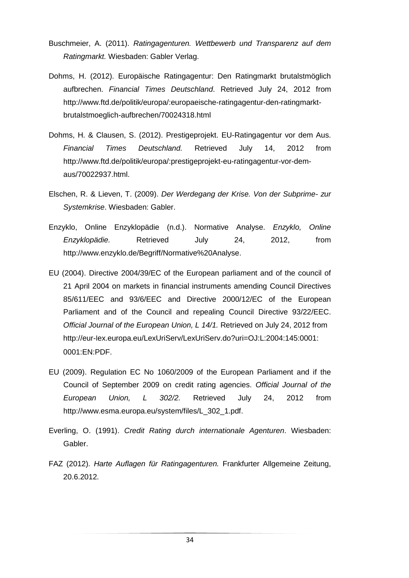- Buschmeier, A. (2011). *Ratingagenturen. Wettbewerb und Transparenz auf dem Ratingmarkt.* Wiesbaden: Gabler Verlag.
- Dohms, H. (2012). Europäische Ratingagentur: Den Ratingmarkt brutalstmöglich aufbrechen. *Financial Times Deutschland*. Retrieved July 24, 2012 from http://www.ftd.de/politik/europa/:europaeische-ratingagentur-den-ratingmarktbrutalstmoeglich-aufbrechen/70024318.html
- Dohms, H. & Clausen, S. (2012). Prestigeprojekt. EU-Ratingagentur vor dem Aus. *Financial Times Deutschland.* Retrieved July 14, 2012 from [http://www.ftd.de/politik/europa/:prestigeprojekt-eu-ratingagentur-vor-dem](http://www.ftd.de/politik/europa/:prestigeprojekt-eu-ratingagentur-vor-dem-aus/70022937.html)[aus/70022937.html.](http://www.ftd.de/politik/europa/:prestigeprojekt-eu-ratingagentur-vor-dem-aus/70022937.html)
- Elschen, R. & Lieven, T. (2009). *Der Werdegang der Krise. Von der Subprime- zur Systemkrise*. Wiesbaden: Gabler.
- Enzyklo, Online Enzyklopädie (n.d.). Normative Analyse. *Enzyklo, Online Enzyklopädie.* Retrieved July 24, 2012, from http://www.enzyklo.de/Begriff/Normative%20Analyse.
- EU (2004). Directive 2004/39/EC of the European parliament and of the council of 21 April 2004 on markets in financial instruments amending Council Directives 85/611/EEC and 93/6/EEC and Directive 2000/12/EC of the European Parliament and of the Council and repealing Council Directive 93/22/EEC. *Official Journal of the European Union, L 14/1.* Retrieved on July 24, 2012 from http://eur-l[ex.europa.eu/LexUriServ/LexUriServ.do?](http://eur-lex.europa.eu/LexUriServ/LexUriServ.do)uri=OJ:L:2004:145:0001: 0001:EN:PDF.
- EU (2009). Regulation EC No 1060/2009 of the European Parliament and if the Council of September 2009 on credit rating agencies. *Official Journal of the European Union, L 302/2.* Retrieved July 24, 2012 from http://www.esma.europa.eu/system/files/L\_302\_1.pdf.
- Everling, O. (1991). *Credit Rating durch internationale Agenturen*. Wiesbaden: Gabler.
- FAZ (2012). *Harte Auflagen für Ratingagenturen.* Frankfurter Allgemeine Zeitung, 20.6.2012.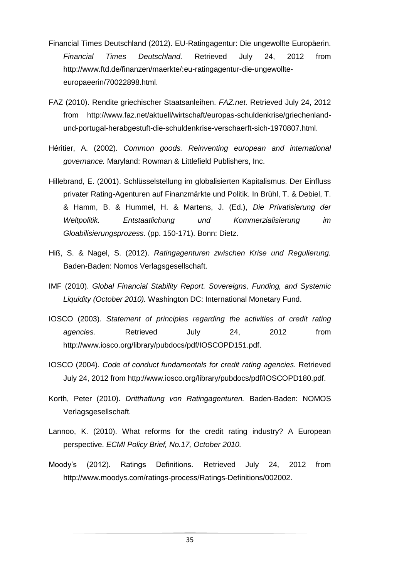- Financial Times Deutschland (2012). EU-Ratingagentur: Die ungewollte Europäerin. *Financial Times Deutschland.* Retrieved July 24, 2012 from http://www.ftd.de/finanzen/maerkte/:eu-ratingagentur-die-ungewollteeuropaeerin/70022898.html.
- FAZ (2010). Rendite griechischer Staatsanleihen. *FAZ.net.* Retrieved July 24, 2012 from http://www.faz.net/aktuell/wirtschaft/europas-schuldenkrise/griechenlandund-portugal-herabgestuft-die-schuldenkrise-verschaerft-sich-1970807.html.
- Héritier, A. (2002). *Common goods. Reinventing european and international governance.* Maryland: Rowman & Littlefield Publishers, Inc.
- Hillebrand, E. (2001). Schlüsselstellung im globalisierten Kapitalismus. Der Einfluss privater Rating-Agenturen auf Finanzmärkte und Politik. In Brühl, T. & Debiel, T. & Hamm, B. & Hummel, H. & Martens, J. (Ed.), *Die Privatisierung der Weltpolitik. Entstaatlichung und Kommerzialisierung im Gloabilisierungsprozess*. (pp. 150-171). Bonn: Dietz.
- Hiß, S. & Nagel, S. (2012). *Ratingagenturen zwischen Krise und Regulierung.* Baden-Baden: Nomos Verlagsgesellschaft.
- IMF (2010). *Global Financial Stability Report. Sovereigns, Funding, and Systemic Liquidity (October 2010).* Washington DC: International Monetary Fund.
- IOSCO (2003). *Statement of principles regarding the activities of credit rating agencies.* Retrieved July 24, 2012 from [http://www.iosco.org/library/pubdocs/pdf/IOSCOPD151.pdf.](http://www.iosco.org/library/pubdocs/pdf/IOSCOPD151.pdf)
- IOSCO (2004). *Code of conduct fundamentals for credit rating agencies.* Retrieved July 24, 2012 from <http://www.iosco.org/library/pubdocs/pdf/IOSCOPD180.pdf>.
- Korth, Peter (2010). *Dritthaftung von Ratingagenturen.* Baden-Baden: NOMOS Verlagsgesellschaft.
- Lannoo, K. (2010). What reforms for the credit rating industry? A European perspective. *ECMI Policy Brief, No.17, October 2010.*
- Moody's (2012). Ratings Definitions. Retrieved July 24, 2012 from [http://www.moodys.com/ratings-process/Ratings-Definitions/002002.](http://www.moodys.com/ratings-process/Ratings-Definitions/002002)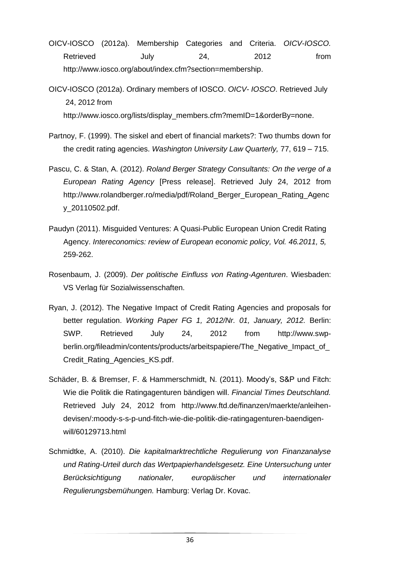- OICV-IOSCO (2012a). Membership Categories and Criteria. *OICV-IOSCO.* Retrieved July 24, 2012 from [http://www.iosco.org/about/index.cfm?section=membership.](http://www.iosco.org/about/index.cfm?section=membership)
- OICV-IOSCO (2012a). Ordinary members of IOSCO. *OICV- IOSCO*. Retrieved July 24, 2012 from [http://www.iosco.org/lists/display\\_members.cfm?memID=1&orderBy=none](http://www.iosco.org/lists/display_members.cfm?memID=1&orderBy=none).
- Partnoy, F. (1999). The siskel and ebert of financial markets?: Two thumbs down for the credit rating agencies. *Washington University Law Quarterly,* 77, 619 – 715.
- Pascu, C. & Stan, A. (2012). *Roland Berger Strategy Consultants: On the verge of a European Rating Agency* [Press release]. Retrieved July 24, 2012 from [http://www.rolandberger.ro/media/pdf/Roland\\_Berger\\_European\\_Rating\\_Agenc](http://www.rolandberger.ro/media/pdf/Roland_Berger_European_Rating_Agency_20110502.pdf) [y\\_20110502.pdf](http://www.rolandberger.ro/media/pdf/Roland_Berger_European_Rating_Agency_20110502.pdf).
- Paudyn (2011). Misguided Ventures: A Quasi-Public European Union Credit Rating Agency. *Intereconomics: review of European economic policy, Vol. 46.2011, 5,*  259-262.
- Rosenbaum, J. (2009). *Der politische Einfluss von Rating-Agenturen*. Wiesbaden: VS Verlag für Sozialwissenschaften.
- Ryan, J. (2012). The Negative Impact of Credit Rating Agencies and proposals for better regulation. *Working Paper FG 1, 2012/Nr. 01, January, 2012.* Berlin: SWP. Retrieved July 24, 2012 from [http://www.swp](http://www.swp-berlin.org/fileadmin/contents/products/arbeitspapiere/The_Negative_Impact_of_Credit_Rating_Agencies_KS.pdf)berlin.org/fileadmin/contents/products/arbeitspapiere/The\_Negative\_Impact\_of [Credit\\_Rating\\_Agencies\\_KS.pdf.](http://www.swp-berlin.org/fileadmin/contents/products/arbeitspapiere/The_Negative_Impact_of_Credit_Rating_Agencies_KS.pdf)
- Schäder, B. & Bremser, F. & Hammerschmidt, N. (2011). Moody's, S&P und Fitch: Wie die Politik die Ratingagenturen bändigen will. *Financial Times Deutschland.* Retrieved July 24, 2012 from http://www.ftd.de/finanzen/maerkte/anleihendevisen/:moody-s-s-p-und-fitch-wie-die-politik-die-ratingagenturen-baendigenwill/60129713.html
- Schmidtke, A. (2010). *Die kapitalmarktrechtliche Regulierung von Finanzanalyse und Rating-Urteil durch das Wertpapierhandelsgesetz. Eine Untersuchung unter Berücksichtigung nationaler, europäischer und internationaler Regulierungsbemühungen.* Hamburg: Verlag Dr. Kovac.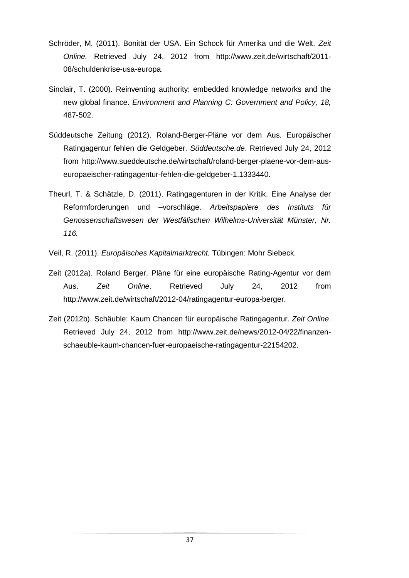- Schröder, M. (2011). Bonität der USA. Ein Schock für Amerika und die Welt. *Zeit Online.* Retrieved July 24, 2012 from [http://www.zeit.de/wirtschaft/2011-](http://www.zeit.de/wirtschaft/2011-08/schuldenkrise-usa-europa) [08/schuldenkrise-usa-europa.](http://www.zeit.de/wirtschaft/2011-08/schuldenkrise-usa-europa)
- Sinclair, T. (2000). Reinventing authority: embedded knowledge networks and the new global finance. *Environment and Planning C: Government and Policy, 18,*  487-502.
- Süddeutsche Zeitung (2012). Roland-Berger-Pläne vor dem Aus. Europäischer Ratingagentur fehlen die Geldgeber. *Süddeutsche.de*. Retrieved July 24, 2012 from http://www.sueddeutsche.de/wirtschaft/roland-berger-plaene-vor-dem-auseuropaeischer-ratingagentur-fehlen-die-geldgeber-1.1333440.
- Theurl, T. & Schätzle, D. (2011). Ratingagenturen in der Kritik. Eine Analyse der Reformforderungen und –vorschläge. *Arbeitspapiere des Instituts für Genossenschaftswesen der Westfälischen Wilhelms-Universität Münster, Nr. 116.*
- Veil, R. (2011). *Europäisches Kapitalmarktrecht.* Tübingen: Mohr Siebeck.
- Zeit (2012a). Roland Berger. Pläne für eine europäische Rating-Agentur vor dem Aus. *Zeit Online*. Retrieved July 24, 2012 from http://www.zeit.de/wirtschaft/2012-04/ratingagentur-europa-berger.
- Zeit (2012b). Schäuble: Kaum Chancen für europäische Ratingagentur. *Zeit Online*. Retrieved July 24, 2012 from [http://www.zeit.de/news/2012-04/22/finanzen](http://www.zeit.de/news/2012-04/22/finanzen-schaeuble-kaum-chancen-fuer-europaeische-ratingagentur-22154202)[schaeuble-kaum-chancen-fuer-europaeische-ratingagentur-22154202](http://www.zeit.de/news/2012-04/22/finanzen-schaeuble-kaum-chancen-fuer-europaeische-ratingagentur-22154202).